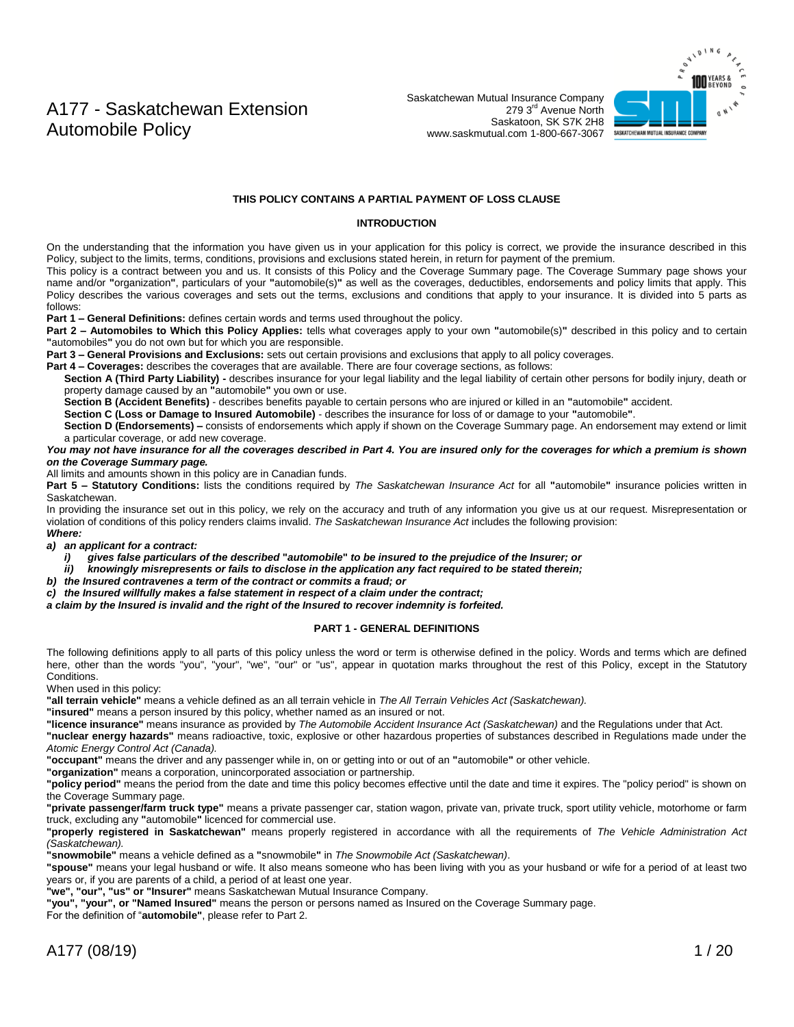Saskatchewan Mutual Insurance Company 279 3rd Avenue North Saskatoon, SK S7K 2H8 www.saskmutual.com 1-800-667-3067



#### **THIS POLICY CONTAINS A PARTIAL PAYMENT OF LOSS CLAUSE**

#### **INTRODUCTION**

On the understanding that the information you have given us in your application for this policy is correct, we provide the insurance described in this Policy, subject to the limits, terms, conditions, provisions and exclusions stated herein, in return for payment of the premium.

This policy is a contract between you and us. It consists of this Policy and the Coverage Summary page. The Coverage Summary page shows your name and/or **"**organization**"**, particulars of your **"**automobile(s)**"** as well as the coverages, deductibles, endorsements and policy limits that apply. This Policy describes the various coverages and sets out the terms, exclusions and conditions that apply to your insurance. It is divided into 5 parts as follows:

**Part 1 – General Definitions:** defines certain words and terms used throughout the policy.

**Part 2 – Automobiles to Which this Policy Applies:** tells what coverages apply to your own **"**automobile(s)**"** described in this policy and to certain **"**automobiles**"** you do not own but for which you are responsible.

**Part 3 – General Provisions and Exclusions:** sets out certain provisions and exclusions that apply to all policy coverages.

**Part 4 – Coverages:** describes the coverages that are available. There are four coverage sections, as follows:

Section A (Third Party Liability) - describes insurance for your legal liability and the legal liability of certain other persons for bodily injury, death or property damage caused by an **"**automobile**"** you own or use.

**Section B (Accident Benefits)** - describes benefits payable to certain persons who are injured or killed in an **"**automobile**"** accident.

**Section C (Loss or Damage to Insured Automobile)** - describes the insurance for loss of or damage to your **"**automobile**"**.

**Section D (Endorsements) –** consists of endorsements which apply if shown on the Coverage Summary page. An endorsement may extend or limit a particular coverage, or add new coverage.

*You may not have insurance for all the coverages described in Part 4. You are insured only for the coverages for which a premium is shown on the Coverage Summary page.*

All limits and amounts shown in this policy are in Canadian funds.

**Part 5 – Statutory Conditions:** lists the conditions required by *The Saskatchewan Insurance Act* for all **"**automobile**"** insurance policies written in Saskatchewan.

In providing the insurance set out in this policy, we rely on the accuracy and truth of any information you give us at our request. Misrepresentation or violation of conditions of this policy renders claims invalid. *The Saskatchewan Insurance Act* includes the following provision: *Where:*

*a) an applicant for a contract:*

- *i) gives false particulars of the described* **"***automobile***"** *to be insured to the prejudice of the Insurer; or*
- *ii) knowingly misrepresents or fails to disclose in the application any fact required to be stated therein;*
- *b) the Insured contravenes a term of the contract or commits a fraud; or*
- *c) the Insured willfully makes a false statement in respect of a claim under the contract;*

*a claim by the Insured is invalid and the right of the Insured to recover indemnity is forfeited.*

#### **PART 1 - GENERAL DEFINITIONS**

The following definitions apply to all parts of this policy unless the word or term is otherwise defined in the policy. Words and terms which are defined here, other than the words "you", "your", "we", "our" or "us", appear in quotation marks throughout the rest of this Policy, except in the Statutory Conditions.

When used in this policy:

**"all terrain vehicle"** means a vehicle defined as an all terrain vehicle in *The All Terrain Vehicles Act (Saskatchewan).*

**"insured"** means a person insured by this policy, whether named as an insured or not.

**"licence insurance"** means insurance as provided by *The Automobile Accident Insurance Act (Saskatchewan)* and the Regulations under that Act.

**"nuclear energy hazards"** means radioactive, toxic, explosive or other hazardous properties of substances described in Regulations made under the *Atomic Energy Control Act (Canada).*

**"occupant"** means the driver and any passenger while in, on or getting into or out of an **"**automobile**"** or other vehicle.

**"organization"** means a corporation, unincorporated association or partnership.

**"policy period"** means the period from the date and time this policy becomes effective until the date and time it expires. The "policy period" is shown on the Coverage Summary page.

**"private passenger/farm truck type"** means a private passenger car, station wagon, private van, private truck, sport utility vehicle, motorhome or farm truck, excluding any **"**automobile**"** licenced for commercial use.

**"properly registered in Saskatchewan"** means properly registered in accordance with all the requirements of *The Vehicle Administration Act (Saskatchewan).*

**"snowmobile"** means a vehicle defined as a **"**snowmobile**"** in *The Snowmobile Act (Saskatchewan)*.

**"spouse"** means your legal husband or wife. It also means someone who has been living with you as your husband or wife for a period of at least two years or, if you are parents of a child, a period of at least one year.

**"we", "our", "us" or "Insurer"** means Saskatchewan Mutual Insurance Company.

**"you", "your", or "Named Insured"** means the person or persons named as Insured on the Coverage Summary page.

For the definition of "**automobile"**, please refer to Part 2.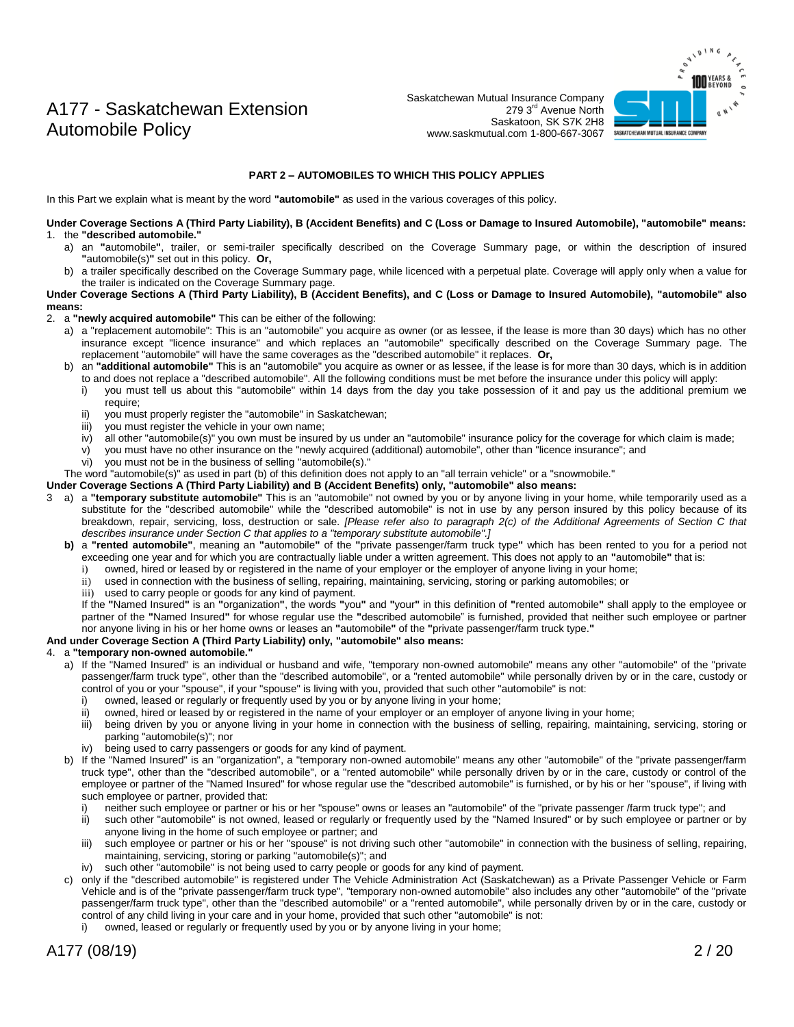

#### **PART 2 – AUTOMOBILES TO WHICH THIS POLICY APPLIES**

In this Part we explain what is meant by the word **"automobile"** as used in the various coverages of this policy.

**Under Coverage Sections A (Third Party Liability), B (Accident Benefits) and C (Loss or Damage to Insured Automobile), "automobile" means:** 1. the **"described automobile."**

- a) an **"**automobile**"**, trailer, or semi-trailer specifically described on the Coverage Summary page, or within the description of insured **"**automobile(s)**"** set out in this policy. **Or,**
- b) a trailer specifically described on the Coverage Summary page, while licenced with a perpetual plate. Coverage will apply only when a value for the trailer is indicated on the Coverage Summary page.

**Under Coverage Sections A (Third Party Liability), B (Accident Benefits), and C (Loss or Damage to Insured Automobile), "automobile" also means:**

- 2. a **"newly acquired automobile"** This can be either of the following:
	- a) a "replacement automobile": This is an "automobile" you acquire as owner (or as lessee, if the lease is more than 30 days) which has no other insurance except "licence insurance" and which replaces an "automobile" specifically described on the Coverage Summary page. The replacement "automobile" will have the same coverages as the "described automobile" it replaces. **Or,**
	- b) an **"additional automobile"** This is an "automobile" you acquire as owner or as lessee, if the lease is for more than 30 days, which is in addition to and does not replace a "described automobile". All the following conditions must be met before the insurance under this policy will apply:
		- i) you must tell us about this "automobile" within 14 days from the day you take possession of it and pay us the additional premium we require;
		- ii) you must properly register the "automobile" in Saskatchewan;
		- iii) you must register the vehicle in your own name;
		- iv) all other "automobile(s)" you own must be insured by us under an "automobile" insurance policy for the coverage for which claim is made;
		- v) you must have no other insurance on the "newly acquired (additional) automobile", other than "licence insurance"; and
		- vi) you must not be in the business of selling "automobile(s)."

The word "automobile(s)" as used in part (b) of this definition does not apply to an "all terrain vehicle" or a "snowmobile."

**Under Coverage Sections A (Third Party Liability) and B (Accident Benefits) only, "automobile" also means:**

- 3 a) a **"temporary substitute automobile"** This is an "automobile" not owned by you or by anyone living in your home, while temporarily used as a substitute for the "described automobile" while the "described automobile" is not in use by any person insured by this policy because of its breakdown, repair, servicing, loss, destruction or sale. *[Please refer also to paragraph 2(c) of the Additional Agreements of Section C that describes insurance under Section C that applies to a "temporary substitute automobile".]*
	- **b)** a **"rented automobile"**, meaning an **"**automobile**"** of the **"**private passenger/farm truck type**"** which has been rented to you for a period not exceeding one year and for which you are contractually liable under a written agreement. This does not apply to an **"**automobile**"** that is:
		- i) owned, hired or leased by or registered in the name of your employer or the employer of anyone living in your home;
		- ii) used in connection with the business of selling, repairing, maintaining, servicing, storing or parking automobiles; or
		- iii) used to carry people or goods for any kind of payment.

If the **"**Named Insured**"** is an **"**organization**"**, the words **"**you**"** and **"**your**"** in this definition of **"**rented automobile**"** shall apply to the employee or partner of the **"**Named Insured**"** for whose regular use the **"**described automobile" is furnished, provided that neither such employee or partner nor anyone living in his or her home owns or leases an **"**automobile**"** of the **"**private passenger/farm truck type.**"**

#### **And under Coverage Section A (Third Party Liability) only, "automobile" also means:**

#### 4. a **"temporary non-owned automobile."**

- a) If the "Named Insured" is an individual or husband and wife, "temporary non-owned automobile" means any other "automobile" of the "private passenger/farm truck type", other than the "described automobile", or a "rented automobile" while personally driven by or in the care, custody or control of you or your "spouse", if your "spouse" is living with you, provided that such other "automobile" is not:
	- i) owned, leased or regularly or frequently used by you or by anyone living in your home;<br>ii) owned bired or leased by or registered in the name of your employer or an employer or
	- owned, hired or leased by or registered in the name of your employer or an employer of anyone living in your home;
	- iii) being driven by you or anyone living in your home in connection with the business of selling, repairing, maintaining, servicing, storing or parking "automobile(s)"; nor
	- iv) being used to carry passengers or goods for any kind of payment.
- b) If the "Named Insured" is an "organization", a "temporary non-owned automobile" means any other "automobile" of the "private passenger/farm truck type", other than the "described automobile", or a "rented automobile" while personally driven by or in the care, custody or control of the employee or partner of the "Named Insured" for whose regular use the "described automobile" is furnished, or by his or her "spouse", if living with such employee or partner, provided that:
	- i) neither such employee or partner or his or her "spouse" owns or leases an "automobile" of the "private passenger /farm truck type"; and
	- ii) such other "automobile" is not owned, leased or regularly or frequently used by the "Named Insured" or by such employee or partner or by anyone living in the home of such employee or partner; and
	- iii) such employee or partner or his or her "spouse" is not driving such other "automobile" in connection with the business of selling, repairing, maintaining, servicing, storing or parking "automobile(s)"; and
	- iv) such other "automobile" is not being used to carry people or goods for any kind of payment.
- c) only if the "described automobile" is registered under The Vehicle Administration Act (Saskatchewan) as a Private Passenger Vehicle or Farm Vehicle and is of the "private passenger/farm truck type", "temporary non-owned automobile" also includes any other "automobile" of the "private passenger/farm truck type", other than the "described automobile" or a "rented automobile", while personally driven by or in the care, custody or control of any child living in your care and in your home, provided that such other "automobile" is not:
	- owned, leased or regularly or frequently used by you or by anyone living in your home;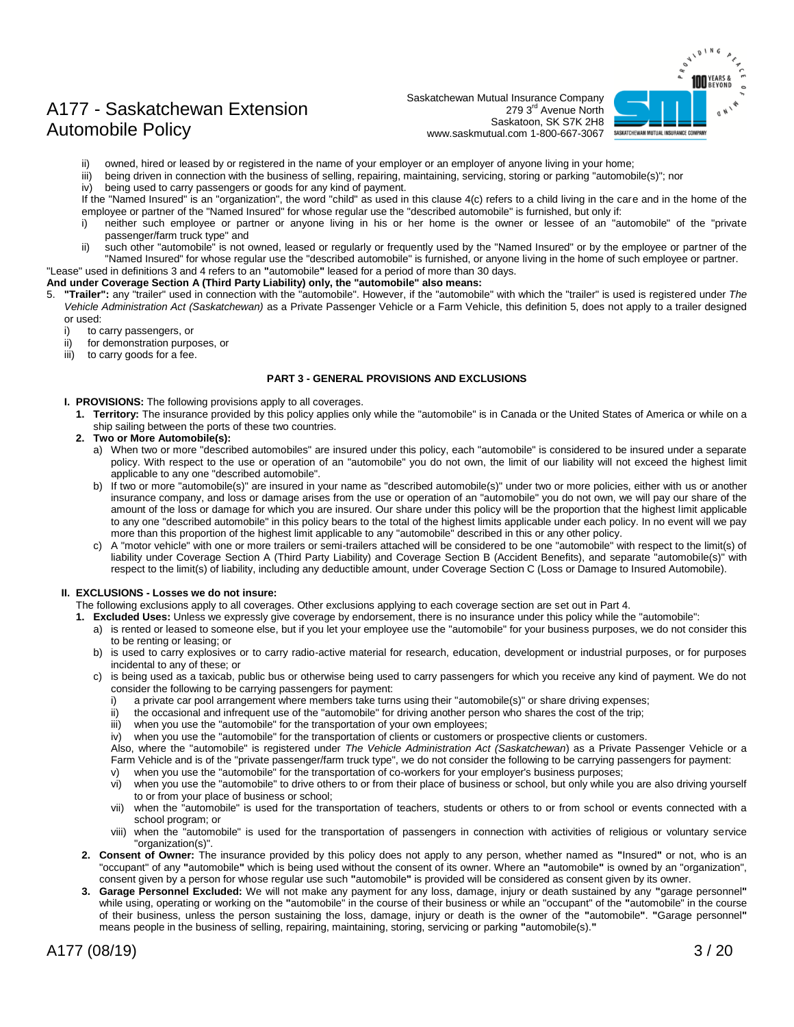Saskatchewan Mutual Insurance Company 279 3rd Avenue North Saskatoon, SK S7K 2H8 www.saskmutual.com 1-800-667-3067



- owned, hired or leased by or registered in the name of your employer or an employer of anyone living in your home;
- iii) being driven in connection with the business of selling, repairing, maintaining, servicing, storing or parking "automobile(s)"; nor
- iv) being used to carry passengers or goods for any kind of payment.

If the "Named Insured" is an "organization", the word "child" as used in this clause 4(c) refers to a child living in the care and in the home of the employee or partner of the "Named Insured" for whose regular use the "described automobile" is furnished, but only if:

- i) neither such employee or partner or anyone living in his or her home is the owner or lessee of an "automobile" of the "private passenger/farm truck type" and
- ii) such other "automobile" is not owned, leased or regularly or frequently used by the "Named Insured" or by the employee or partner of the "Named Insured" for whose regular use the "described automobile" is furnished, or anyone living in the home of such employee or partner.

"Lease" used in definitions 3 and 4 refers to an **"**automobile**"** leased for a period of more than 30 days.

#### **And under Coverage Section A (Third Party Liability) only, the "automobile" also means:**

- 5. **"Trailer":** any "trailer" used in connection with the "automobile". However, if the "automobile" with which the "trailer" is used is registered under *The Vehicle Administration Act (Saskatchewan)* as a Private Passenger Vehicle or a Farm Vehicle, this definition 5, does not apply to a trailer designed or used:
	- i) to carry passengers, or
	- ii) for demonstration purposes, or
	- iii) to carry goods for a fee.

#### **PART 3 - GENERAL PROVISIONS AND EXCLUSIONS**

- **I. PROVISIONS:** The following provisions apply to all coverages.
	- **1. Territory:** The insurance provided by this policy applies only while the "automobile" is in Canada or the United States of America or while on a ship sailing between the ports of these two countries.
	- **2. Two or More Automobile(s):**
		- a) When two or more "described automobiles" are insured under this policy, each "automobile" is considered to be insured under a separate policy. With respect to the use or operation of an "automobile" you do not own, the limit of our liability will not exceed the highest limit applicable to any one "described automobile".
		- b) If two or more "automobile(s)" are insured in your name as "described automobile(s)" under two or more policies, either with us or another insurance company, and loss or damage arises from the use or operation of an "automobile" you do not own, we will pay our share of the amount of the loss or damage for which you are insured. Our share under this policy will be the proportion that the highest limit applicable to any one "described automobile" in this policy bears to the total of the highest limits applicable under each policy. In no event will we pay more than this proportion of the highest limit applicable to any "automobile" described in this or any other policy.
		- c) A "motor vehicle" with one or more trailers or semi-trailers attached will be considered to be one "automobile" with respect to the limit(s) of liability under Coverage Section A (Third Party Liability) and Coverage Section B (Accident Benefits), and separate "automobile(s)" with respect to the limit(s) of liability, including any deductible amount, under Coverage Section C (Loss or Damage to Insured Automobile).

#### **II. EXCLUSIONS - Losses we do not insure:**

The following exclusions apply to all coverages. Other exclusions applying to each coverage section are set out in Part 4.

- **1. Excluded Uses:** Unless we expressly give coverage by endorsement, there is no insurance under this policy while the "automobile":
	- a) is rented or leased to someone else, but if you let your employee use the "automobile" for your business purposes, we do not consider this to be renting or leasing; or
	- b) is used to carry explosives or to carry radio-active material for research, education, development or industrial purposes, or for purposes incidental to any of these; or
	- c) is being used as a taxicab, public bus or otherwise being used to carry passengers for which you receive any kind of payment. We do not consider the following to be carrying passengers for payment:
		- i) a private car pool arrangement where members take turns using their "automobile(s)" or share driving expenses;<br>ii) the occasional and infrequent use of the "automobile" for driving another person who shares the cost of
		- the occasional and infrequent use of the "automobile" for driving another person who shares the cost of the trip;
		- iii) when you use the "automobile" for the transportation of your own employees;
		- iv) when you use the "automobile" for the transportation of clients or customers or prospective clients or customers.

Also, where the "automobile" is registered under *The Vehicle Administration Act (Saskatchewan*) as a Private Passenger Vehicle or a Farm Vehicle and is of the "private passenger/farm truck type", we do not consider the following to be carrying passengers for payment:

- v) when you use the "automobile" for the transportation of co-workers for your employer's business purposes;
- vi) when you use the "automobile" to drive others to or from their place of business or school, but only while you are also driving yourself to or from your place of business or school;
- vii) when the "automobile" is used for the transportation of teachers, students or others to or from school or events connected with a school program; or
- viii) when the "automobile" is used for the transportation of passengers in connection with activities of religious or voluntary service "organization(s)".
- **2. Consent of Owner:** The insurance provided by this policy does not apply to any person, whether named as **"**Insured**"** or not, who is an "occupant" of any **"**automobile**"** which is being used without the consent of its owner. Where an **"**automobile**"** is owned by an "organization", consent given by a person for whose regular use such **"**automobile**"** is provided will be considered as consent given by its owner.
- **3. Garage Personnel Excluded:** We will not make any payment for any loss, damage, injury or death sustained by any **"**garage personnel**"** while using, operating or working on the **"**automobile" in the course of their business or while an "occupant" of the **"**automobile" in the course of their business, unless the person sustaining the loss, damage, injury or death is the owner of the **"**automobile**"**. **"**Garage personnel**"** means people in the business of selling, repairing, maintaining, storing, servicing or parking **"**automobile(s).**"**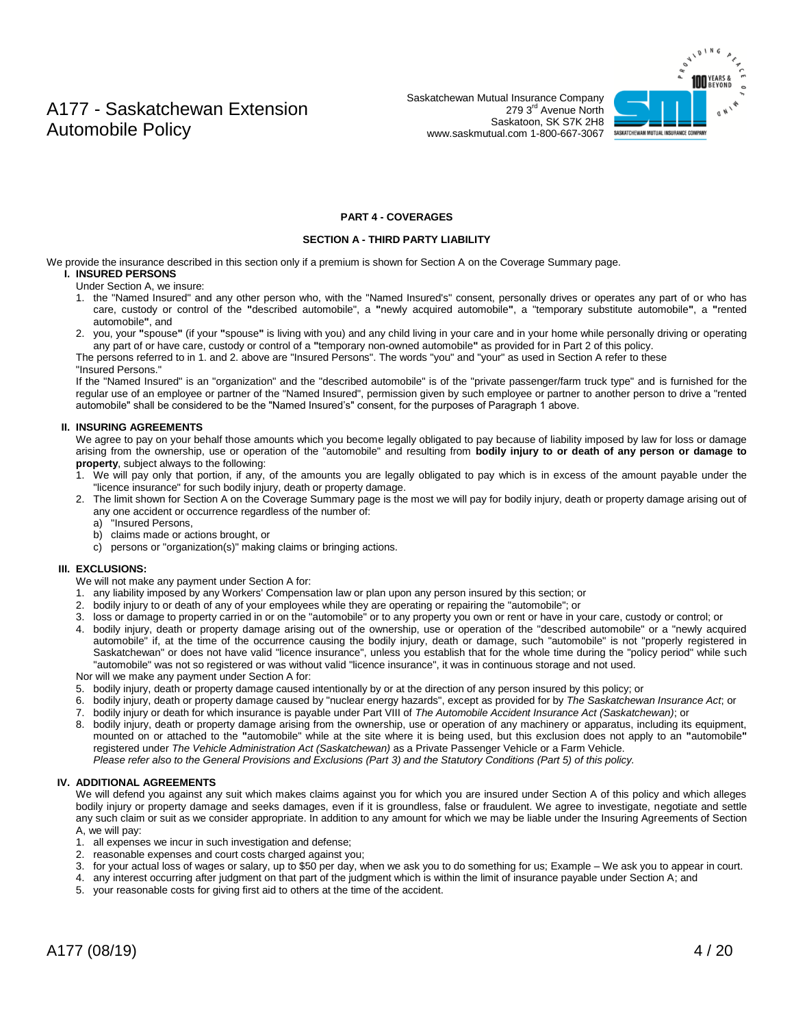Saskatchewan Mutual Insurance Company 279 3rd Avenue North Saskatoon, SK S7K 2H8 www.saskmutual.com 1-800-667-3067



#### **PART 4 - COVERAGES**

#### **SECTION A - THIRD PARTY LIABILITY**

We provide the insurance described in this section only if a premium is shown for Section A on the Coverage Summary page.

#### **I. INSURED PERSONS**

Under Section A, we insure:

- 1. the "Named Insured" and any other person who, with the "Named Insured's" consent, personally drives or operates any part of or who has care, custody or control of the **"**described automobile", a **"**newly acquired automobile**"**, a "temporary substitute automobile**"**, a **"**rented automobile**"**, and
- 2. you, your **"**spouse**"** (if your **"**spouse**"** is living with you) and any child living in your care and in your home while personally driving or operating any part of or have care, custody or control of a **"**temporary non-owned automobile**"** as provided for in Part 2 of this policy.
- The persons referred to in 1. and 2. above are "Insured Persons". The words "you" and "your" as used in Section A refer to these

#### "Insured Persons."

If the "Named Insured" is an "organization" and the "described automobile" is of the "private passenger/farm truck type" and is furnished for the regular use of an employee or partner of the "Named Insured", permission given by such employee or partner to another person to drive a "rented automobile" shall be considered to be the "Named Insured's" consent, for the purposes of Paragraph 1 above.

#### **II. INSURING AGREEMENTS**

We agree to pay on your behalf those amounts which you become legally obligated to pay because of liability imposed by law for loss or damage arising from the ownership, use or operation of the "automobile" and resulting from **bodily injury to or death of any person or damage to property**, subject always to the following:

- 1. We will pay only that portion, if any, of the amounts you are legally obligated to pay which is in excess of the amount payable under the "licence insurance" for such bodily injury, death or property damage.
- 2. The limit shown for Section A on the Coverage Summary page is the most we will pay for bodily injury, death or property damage arising out of any one accident or occurrence regardless of the number of:
	- a) "Insured Persons,
	- b) claims made or actions brought, or
	- c) persons or "organization(s)" making claims or bringing actions.

#### **III. EXCLUSIONS:**

We will not make any payment under Section A for:

- 1. any liability imposed by any Workers' Compensation law or plan upon any person insured by this section; or
- 2. bodily injury to or death of any of your employees while they are operating or repairing the "automobile"; or
- 3. loss or damage to property carried in or on the "automobile" or to any property you own or rent or have in your care, custody or control; or
- 4. bodily injury, death or property damage arising out of the ownership, use or operation of the "described automobile" or a "newly acquired automobile" if, at the time of the occurrence causing the bodily injury, death or damage, such "automobile" is not "properly registered in Saskatchewan" or does not have valid "licence insurance", unless you establish that for the whole time during the "policy period" while such "automobile" was not so registered or was without valid "licence insurance", it was in continuous storage and not used.

Nor will we make any payment under Section A for:

- 5. bodily injury, death or property damage caused intentionally by or at the direction of any person insured by this policy; or
- 6. bodily injury, death or property damage caused by "nuclear energy hazards", except as provided for by *The Saskatchewan Insurance Act*; or 7. bodily injury or death for which insurance is payable under Part VIII of *The Automobile Accident Insurance Act (Saskatchewan)*; or
- 8. bodily injury, death or property damage arising from the ownership, use or operation of any machinery or apparatus, including its equipment, mounted on or attached to the **"**automobile" while at the site where it is being used, but this exclusion does not apply to an **"**automobile**"** registered under *The Vehicle Administration Act (Saskatchewan)* as a Private Passenger Vehicle or a Farm Vehicle. *Please refer also to the General Provisions and Exclusions (Part 3) and the Statutory Conditions (Part 5) of this policy.*

#### **IV. ADDITIONAL AGREEMENTS**

We will defend you against any suit which makes claims against you for which you are insured under Section A of this policy and which alleges bodily injury or property damage and seeks damages, even if it is groundless, false or fraudulent. We agree to investigate, negotiate and settle any such claim or suit as we consider appropriate. In addition to any amount for which we may be liable under the Insuring Agreements of Section A, we will pay:

- 1. all expenses we incur in such investigation and defense;
- 2. reasonable expenses and court costs charged against you;
- 3. for your actual loss of wages or salary, up to \$50 per day, when we ask you to do something for us; Example We ask you to appear in court.
- 4. any interest occurring after judgment on that part of the judgment which is within the limit of insurance payable under Section A; and
- 5. your reasonable costs for giving first aid to others at the time of the accident.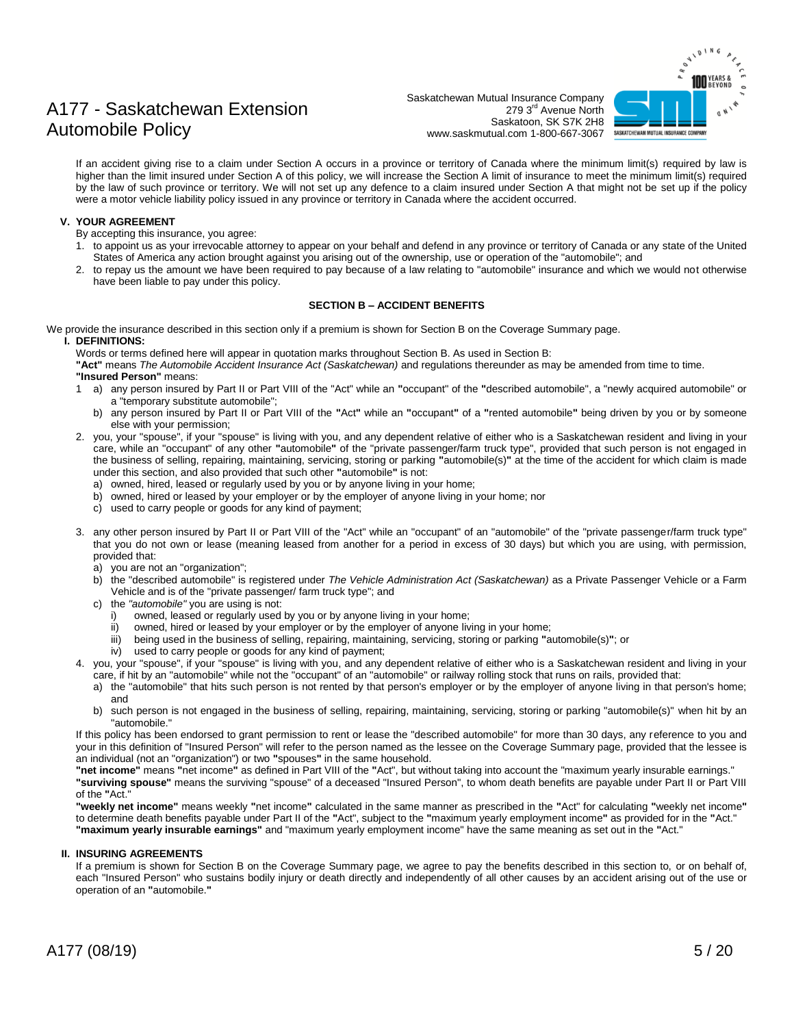## **IND** YEARS & SASKATCHEWAN MUTUAL INSURANCE COMPANY

## A177 - Saskatchewan Extension Automobile Policy

Saskatchewan Mutual Insurance Company 279 3rd Avenue North Saskatoon, SK S7K 2H8 www.saskmutual.com 1-800-667-3067

If an accident giving rise to a claim under Section A occurs in a province or territory of Canada where the minimum limit(s) required by law is higher than the limit insured under Section A of this policy, we will increase the Section A limit of insurance to meet the minimum limit(s) required by the law of such province or territory. We will not set up any defence to a claim insured under Section A that might not be set up if the policy were a motor vehicle liability policy issued in any province or territory in Canada where the accident occurred.

#### **V. YOUR AGREEMENT**

- By accepting this insurance, you agree:
- 1. to appoint us as your irrevocable attorney to appear on your behalf and defend in any province or territory of Canada or any state of the United States of America any action brought against you arising out of the ownership, use or operation of the "automobile"; and
- 2. to repay us the amount we have been required to pay because of a law relating to "automobile" insurance and which we would not otherwise have been liable to pay under this policy.

#### **SECTION B – ACCIDENT BENEFITS**

We provide the insurance described in this section only if a premium is shown for Section B on the Coverage Summary page.

#### **I. DEFINITIONS:**

Words or terms defined here will appear in quotation marks throughout Section B. As used in Section B:

**"Act"** means *The Automobile Accident Insurance Act (Saskatchewan)* and regulations thereunder as may be amended from time to time. **"Insured Person"** means:

- 1 a) any person insured by Part II or Part VIII of the "Act" while an **"**occupant" of the **"**described automobile", a "newly acquired automobile" or a "temporary substitute automobile";
	- b) any person insured by Part II or Part VIII of the **"**Act**"** while an **"**occupant**"** of a **"**rented automobile**"** being driven by you or by someone else with your permission;
- 2. you, your "spouse", if your "spouse" is living with you, and any dependent relative of either who is a Saskatchewan resident and living in your care, while an "occupant" of any other **"**automobile**"** of the "private passenger/farm truck type", provided that such person is not engaged in the business of selling, repairing, maintaining, servicing, storing or parking **"**automobile(s)**"** at the time of the accident for which claim is made under this section, and also provided that such other **"**automobile**"** is not:
	- a) owned, hired, leased or regularly used by you or by anyone living in your home;
	- b) owned, hired or leased by your employer or by the employer of anyone living in your home; nor
	- c) used to carry people or goods for any kind of payment;
- 3. any other person insured by Part II or Part VIII of the "Act" while an "occupant" of an "automobile" of the "private passenger/farm truck type" that you do not own or lease (meaning leased from another for a period in excess of 30 days) but which you are using, with permission, provided that:
	- a) you are not an "organization";
	- b) the "described automobile" is registered under *The Vehicle Administration Act (Saskatchewan)* as a Private Passenger Vehicle or a Farm Vehicle and is of the "private passenger/ farm truck type"; and
	- c) the *"automobile"* you are using is not:
		- i) owned, leased or regularly used by you or by anyone living in your home;
		- ii) owned, hired or leased by your employer or by the employer of anyone living in your home;<br>iii) being used in the business of selling, repairing, maintaining, servicing, storing or parking "a
		- iii) being used in the business of selling, repairing, maintaining, servicing, storing or parking **"**automobile(s)**"**; or
		- iv) used to carry people or goods for any kind of payment;
- 4. you, your "spouse", if your "spouse" is living with you, and any dependent relative of either who is a Saskatchewan resident and living in your care, if hit by an "automobile" while not the "occupant" of an "automobile" or railway rolling stock that runs on rails, provided that:
	- a) the "automobile" that hits such person is not rented by that person's employer or by the employer of anyone living in that person's home; and
	- b) such person is not engaged in the business of selling, repairing, maintaining, servicing, storing or parking "automobile(s)" when hit by an "automobile."

If this policy has been endorsed to grant permission to rent or lease the "described automobile" for more than 30 days, any reference to you and your in this definition of "Insured Person" will refer to the person named as the lessee on the Coverage Summary page, provided that the lessee is an individual (not an "organization") or two **"**spouses**"** in the same household.

**"net income"** means **"**net income**"** as defined in Part VIII of the **"**Act", but without taking into account the "maximum yearly insurable earnings." **"surviving spouse"** means the surviving "spouse" of a deceased "Insured Person", to whom death benefits are payable under Part II or Part VIII of the **"**Act."

**"weekly net income"** means weekly **"**net income**"** calculated in the same manner as prescribed in the **"**Act" for calculating **"**weekly net income**"** to determine death benefits payable under Part II of the **"**Act", subject to the **"**maximum yearly employment income**"** as provided for in the **"**Act." **"maximum yearly insurable earnings"** and "maximum yearly employment income" have the same meaning as set out in the **"**Act."

#### **II. INSURING AGREEMENTS**

If a premium is shown for Section B on the Coverage Summary page, we agree to pay the benefits described in this section to, or on behalf of, each "Insured Person" who sustains bodily injury or death directly and independently of all other causes by an accident arising out of the use or operation of an **"**automobile.**"**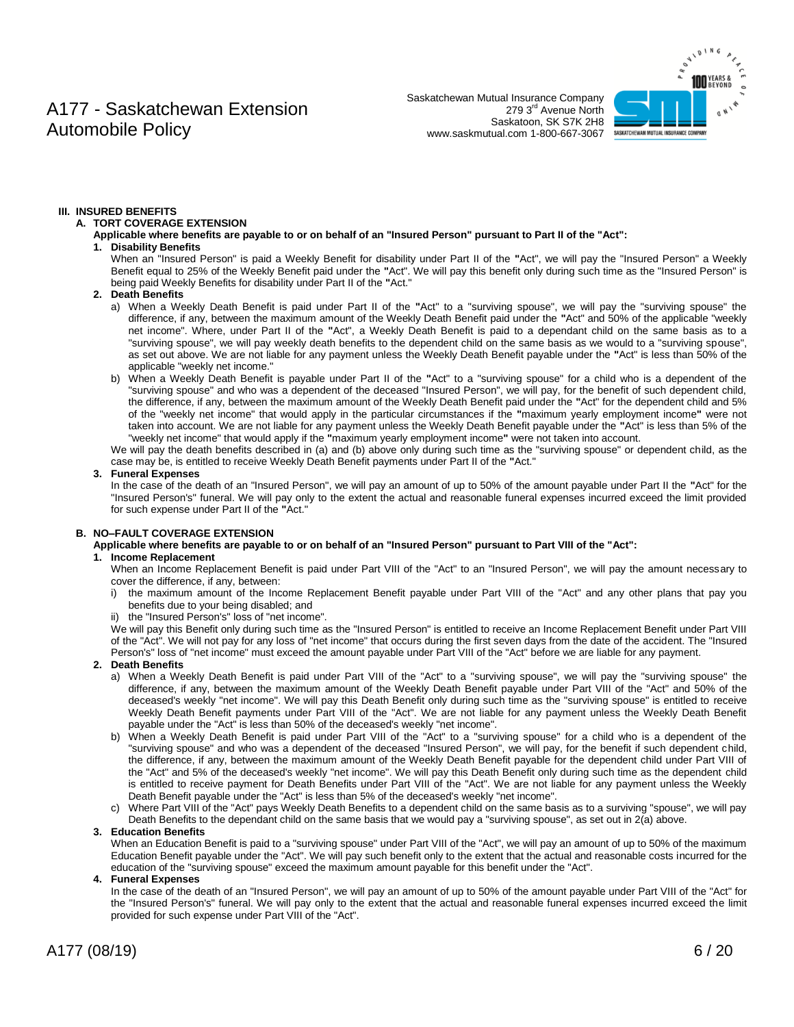Saskatchewan Mutual Insurance Company 279 3rd Avenue North Saskatoon, SK S7K 2H8 www.saskmutual.com 1-800-667-3067



#### **III. INSURED BENEFITS**

#### **A. TORT COVERAGE EXTENSION**

**Applicable where benefits are payable to or on behalf of an "Insured Person" pursuant to Part II of the "Act": 1. Disability Benefits**

When an "Insured Person" is paid a Weekly Benefit for disability under Part II of the **"**Act", we will pay the "Insured Person" a Weekly Benefit equal to 25% of the Weekly Benefit paid under the **"**Act". We will pay this benefit only during such time as the "Insured Person" is being paid Weekly Benefits for disability under Part II of the **"**Act."

#### **2. Death Benefits**

- a) When a Weekly Death Benefit is paid under Part II of the **"**Act" to a "surviving spouse", we will pay the "surviving spouse" the difference, if any, between the maximum amount of the Weekly Death Benefit paid under the **"**Act" and 50% of the applicable "weekly net income". Where, under Part II of the **"**Act", a Weekly Death Benefit is paid to a dependant child on the same basis as to a "surviving spouse", we will pay weekly death benefits to the dependent child on the same basis as we would to a "surviving spouse", as set out above. We are not liable for any payment unless the Weekly Death Benefit payable under the **"**Act" is less than 50% of the applicable "weekly net income."
- b) When a Weekly Death Benefit is payable under Part II of the **"**Act" to a "surviving spouse" for a child who is a dependent of the "surviving spouse" and who was a dependent of the deceased "Insured Person", we will pay, for the benefit of such dependent child, the difference, if any, between the maximum amount of the Weekly Death Benefit paid under the **"**Act" for the dependent child and 5% of the "weekly net income" that would apply in the particular circumstances if the **"**maximum yearly employment income**"** were not taken into account. We are not liable for any payment unless the Weekly Death Benefit payable under the **"**Act" is less than 5% of the "weekly net income" that would apply if the **"**maximum yearly employment income**"** were not taken into account.

We will pay the death benefits described in (a) and (b) above only during such time as the "surviving spouse" or dependent child, as the case may be, is entitled to receive Weekly Death Benefit payments under Part II of the **"**Act."

#### **3. Funeral Expenses**

In the case of the death of an "Insured Person", we will pay an amount of up to 50% of the amount payable under Part II the **"**Act" for the "Insured Person's" funeral. We will pay only to the extent the actual and reasonable funeral expenses incurred exceed the limit provided for such expense under Part II of the **"**Act."

#### **B. NO–FAULT COVERAGE EXTENSION**

**Applicable where benefits are payable to or on behalf of an "Insured Person" pursuant to Part VIII of the "Act":**

#### **1. Income Replacement**

When an Income Replacement Benefit is paid under Part VIII of the "Act" to an "Insured Person", we will pay the amount necessary to cover the difference, if any, between:

- i) the maximum amount of the Income Replacement Benefit payable under Part VIII of the "Act" and any other plans that pay you benefits due to your being disabled; and
- ii) the "Insured Person's" loss of "net income".

We will pay this Benefit only during such time as the "Insured Person" is entitled to receive an Income Replacement Benefit under Part VIII of the "Act". We will not pay for any loss of "net income" that occurs during the first seven days from the date of the accident. The "Insured Person's" loss of "net income" must exceed the amount payable under Part VIII of the "Act" before we are liable for any payment.

#### **2. Death Benefits**

- a) When a Weekly Death Benefit is paid under Part VIII of the "Act" to a "surviving spouse", we will pay the "surviving spouse" the difference, if any, between the maximum amount of the Weekly Death Benefit payable under Part VIII of the "Act" and 50% of the deceased's weekly "net income". We will pay this Death Benefit only during such time as the "surviving spouse" is entitled to receive Weekly Death Benefit payments under Part VIII of the "Act". We are not liable for any payment unless the Weekly Death Benefit payable under the "Act" is less than 50% of the deceased's weekly "net income".
- b) When a Weekly Death Benefit is paid under Part VIII of the "Act" to a "surviving spouse" for a child who is a dependent of the "surviving spouse" and who was a dependent of the deceased "Insured Person", we will pay, for the benefit if such dependent child, the difference, if any, between the maximum amount of the Weekly Death Benefit payable for the dependent child under Part VIII of the "Act" and 5% of the deceased's weekly "net income". We will pay this Death Benefit only during such time as the dependent child is entitled to receive payment for Death Benefits under Part VIII of the "Act". We are not liable for any payment unless the Weekly Death Benefit payable under the "Act" is less than 5% of the deceased's weekly "net income".
- c) Where Part VIII of the "Act" pays Weekly Death Benefits to a dependent child on the same basis as to a surviving "spouse", we will pay Death Benefits to the dependant child on the same basis that we would pay a "surviving spouse", as set out in 2(a) above.

#### **3. Education Benefits**

When an Education Benefit is paid to a "surviving spouse" under Part VIII of the "Act", we will pay an amount of up to 50% of the maximum Education Benefit payable under the "Act". We will pay such benefit only to the extent that the actual and reasonable costs incurred for the education of the "surviving spouse" exceed the maximum amount payable for this benefit under the "Act".

#### **4. Funeral Expenses**

In the case of the death of an "Insured Person", we will pay an amount of up to 50% of the amount payable under Part VIII of the "Act" for the "Insured Person's" funeral. We will pay only to the extent that the actual and reasonable funeral expenses incurred exceed the limit provided for such expense under Part VIII of the "Act".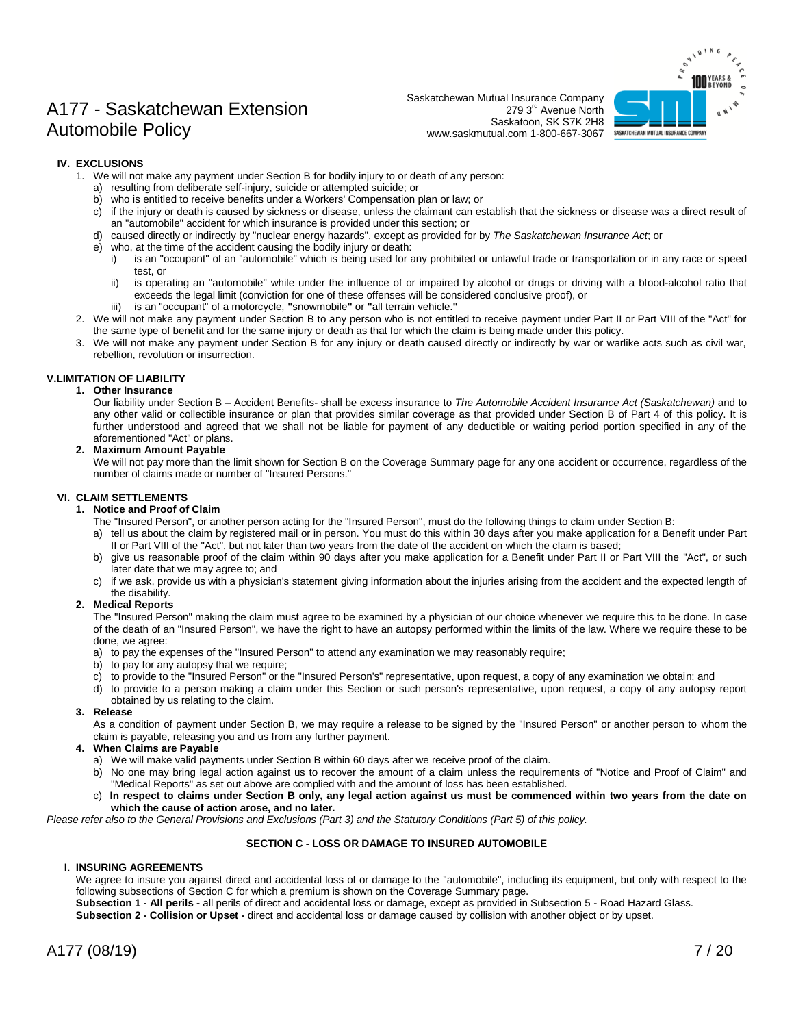Saskatchewan Mutual Insurance Company 279 3rd Avenue North Saskatoon, SK S7K 2H8 www.saskmutual.com 1-800-667-3067



#### **IV. EXCLUSIONS**

- 1. We will not make any payment under Section B for bodily injury to or death of any person:
	- a) resulting from deliberate self-injury, suicide or attempted suicide; or
	- b) who is entitled to receive benefits under a Workers' Compensation plan or law; or
	- c) if the injury or death is caused by sickness or disease, unless the claimant can establish that the sickness or disease was a direct result of an "automobile" accident for which insurance is provided under this section; or
	- d) caused directly or indirectly by "nuclear energy hazards", except as provided for by *The Saskatchewan Insurance Act*; or
	- e) who, at the time of the accident causing the bodily injury or death:
		- i) is an "occupant" of an "automobile" which is being used for any prohibited or unlawful trade or transportation or in any race or speed test, or
		- ii) is operating an "automobile" while under the influence of or impaired by alcohol or drugs or driving with a blood-alcohol ratio that exceeds the legal limit (conviction for one of these offenses will be considered conclusive proof), or
			- is an "occupant" of a motorcycle, "snowmobile" or "all terrain vehicle."
- 2. We will not make any payment under Section B to any person who is not entitled to receive payment under Part II or Part VIII of the "Act" for the same type of benefit and for the same injury or death as that for which the claim is being made under this policy.
- 3. We will not make any payment under Section B for any injury or death caused directly or indirectly by war or warlike acts such as civil war, rebellion, revolution or insurrection.

#### **V.LIMITATION OF LIABILITY**

#### **1. Other Insurance**

Our liability under Section B – Accident Benefits- shall be excess insurance to *The Automobile Accident Insurance Act (Saskatchewan)* and to any other valid or collectible insurance or plan that provides similar coverage as that provided under Section B of Part 4 of this policy. It is further understood and agreed that we shall not be liable for payment of any deductible or waiting period portion specified in any of the aforementioned "Act" or plans.

#### **2. Maximum Amount Payable**

We will not pay more than the limit shown for Section B on the Coverage Summary page for any one accident or occurrence, regardless of the number of claims made or number of "Insured Persons."

#### **VI. CLAIM SETTLEMENTS**

#### **1. Notice and Proof of Claim**

The "Insured Person", or another person acting for the "Insured Person", must do the following things to claim under Section B:

- a) tell us about the claim by registered mail or in person. You must do this within 30 days after you make application for a Benefit under Part II or Part VIII of the "Act", but not later than two years from the date of the accident on which the claim is based;
- b) give us reasonable proof of the claim within 90 days after you make application for a Benefit under Part II or Part VIII the "Act", or such later date that we may agree to; and
- c) if we ask, provide us with a physician's statement giving information about the injuries arising from the accident and the expected length of the disability.

#### **2. Medical Reports**

The "Insured Person" making the claim must agree to be examined by a physician of our choice whenever we require this to be done. In case of the death of an "Insured Person", we have the right to have an autopsy performed within the limits of the law. Where we require these to be done, we agree:

- a) to pay the expenses of the "Insured Person" to attend any examination we may reasonably require;
- b) to pay for any autopsy that we require;
- c) to provide to the "Insured Person" or the "Insured Person's" representative, upon request, a copy of any examination we obtain; and
- d) to provide to a person making a claim under this Section or such person's representative, upon request, a copy of any autopsy report obtained by us relating to the claim.
- **3. Release**

As a condition of payment under Section B, we may require a release to be signed by the "Insured Person" or another person to whom the claim is payable, releasing you and us from any further payment.

- **4. When Claims are Payable**
	- a) We will make valid payments under Section B within 60 days after we receive proof of the claim.
	- b) No one may bring legal action against us to recover the amount of a claim unless the requirements of "Notice and Proof of Claim" and "Medical Reports" as set out above are complied with and the amount of loss has been established.
	- c) **In respect to claims under Section B only, any legal action against us must be commenced within two years from the date on which the cause of action arose, and no later.**

*Please refer also to the General Provisions and Exclusions (Part 3) and the Statutory Conditions (Part 5) of this policy.*

#### **SECTION C - LOSS OR DAMAGE TO INSURED AUTOMOBILE**

#### **I. INSURING AGREEMENTS**

We agree to insure you against direct and accidental loss of or damage to the "automobile", including its equipment, but only with respect to the following subsections of Section C for which a premium is shown on the Coverage Summary page.

**Subsection 1 - All perils -** all perils of direct and accidental loss or damage, except as provided in Subsection 5 - Road Hazard Glass.

**Subsection 2 - Collision or Upset -** direct and accidental loss or damage caused by collision with another object or by upset.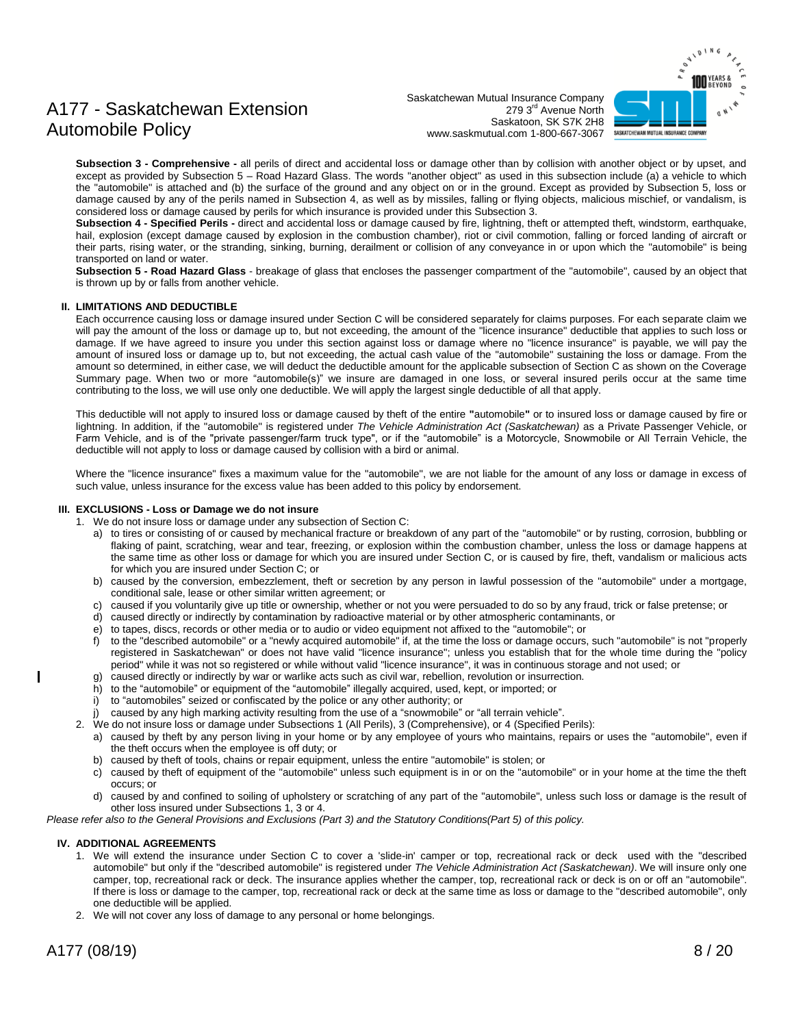# SASKATCHEWAN MUTUAL INSURANCE COMPANY

## A177 - Saskatchewan Extension Automobile Policy

Saskatchewan Mutual Insurance Company 279 3rd Avenue North Saskatoon, SK S7K 2H8 www.saskmutual.com 1-800-667-3067

**Subsection 3 - Comprehensive -** all perils of direct and accidental loss or damage other than by collision with another object or by upset, and except as provided by Subsection 5 – Road Hazard Glass. The words "another object" as used in this subsection include (a) a vehicle to which the "automobile" is attached and (b) the surface of the ground and any object on or in the ground. Except as provided by Subsection 5, loss or damage caused by any of the perils named in Subsection 4, as well as by missiles, falling or flying objects, malicious mischief, or vandalism, is considered loss or damage caused by perils for which insurance is provided under this Subsection 3.

**Subsection 4 - Specified Perils -** direct and accidental loss or damage caused by fire, lightning, theft or attempted theft, windstorm, earthquake, hail, explosion (except damage caused by explosion in the combustion chamber), riot or civil commotion, falling or forced landing of aircraft or their parts, rising water, or the stranding, sinking, burning, derailment or collision of any conveyance in or upon which the "automobile" is being transported on land or water.

**Subsection 5 - Road Hazard Glass** - breakage of glass that encloses the passenger compartment of the "automobile", caused by an object that is thrown up by or falls from another vehicle.

#### **II. LIMITATIONS AND DEDUCTIBLE**

Each occurrence causing loss or damage insured under Section C will be considered separately for claims purposes. For each separate claim we will pay the amount of the loss or damage up to, but not exceeding, the amount of the "licence insurance" deductible that applies to such loss or damage. If we have agreed to insure you under this section against loss or damage where no "licence insurance" is payable, we will pay the amount of insured loss or damage up to, but not exceeding, the actual cash value of the "automobile" sustaining the loss or damage. From the amount so determined, in either case, we will deduct the deductible amount for the applicable subsection of Section C as shown on the Coverage Summary page. When two or more "automobile(s)" we insure are damaged in one loss, or several insured perils occur at the same time contributing to the loss, we will use only one deductible. We will apply the largest single deductible of all that apply.

This deductible will not apply to insured loss or damage caused by theft of the entire **"**automobile**"** or to insured loss or damage caused by fire or lightning. In addition, if the "automobile" is registered under *The Vehicle Administration Act (Saskatchewan)* as a Private Passenger Vehicle, or Farm Vehicle, and is of the "private passenger/farm truck type", or if the "automobile" is a Motorcycle, Snowmobile or All Terrain Vehicle, the deductible will not apply to loss or damage caused by collision with a bird or animal.

Where the "licence insurance" fixes a maximum value for the "automobile", we are not liable for the amount of any loss or damage in excess of such value, unless insurance for the excess value has been added to this policy by endorsement.

#### **III. EXCLUSIONS - Loss or Damage we do not insure**

- 1. We do not insure loss or damage under any subsection of Section C:
	- a) to tires or consisting of or caused by mechanical fracture or breakdown of any part of the "automobile" or by rusting, corrosion, bubbling or flaking of paint, scratching, wear and tear, freezing, or explosion within the combustion chamber, unless the loss or damage happens at the same time as other loss or damage for which you are insured under Section C, or is caused by fire, theft, vandalism or malicious acts for which you are insured under Section C; or
	- b) caused by the conversion, embezzlement, theft or secretion by any person in lawful possession of the "automobile" under a mortgage, conditional sale, lease or other similar written agreement; or
	- c) caused if you voluntarily give up title or ownership, whether or not you were persuaded to do so by any fraud, trick or false pretense; or
	- d) caused directly or indirectly by contamination by radioactive material or by other atmospheric contaminants, or
	- e) to tapes, discs, records or other media or to audio or video equipment not affixed to the "automobile"; or
	- f) to the "described automobile" or a "newly acquired automobile" if, at the time the loss or damage occurs, such "automobile" is not "properly registered in Saskatchewan" or does not have valid "licence insurance"; unless you establish that for the whole time during the "policy period" while it was not so registered or while without valid "licence insurance", it was in continuous storage and not used; or
	- g) caused directly or indirectly by war or warlike acts such as civil war, rebellion, revolution or insurrection.
	- h) to the "automobile" or equipment of the "automobile" illegally acquired, used, kept, or imported; or
	- i) to "automobiles" seized or confiscated by the police or any other authority; or
	- j) caused by any high marking activity resulting from the use of a "snowmobile" or "all terrain vehicle".
- 2. We do not insure loss or damage under Subsections 1 (All Perils), 3 (Comprehensive), or 4 (Specified Perils):
	- a) caused by theft by any person living in your home or by any employee of yours who maintains, repairs or uses the "automobile", even if the theft occurs when the employee is off duty; or
	- b) caused by theft of tools, chains or repair equipment, unless the entire "automobile" is stolen; or
	- c) caused by theft of equipment of the "automobile" unless such equipment is in or on the "automobile" or in your home at the time the theft occurs; or
	- d) caused by and confined to soiling of upholstery or scratching of any part of the "automobile", unless such loss or damage is the result of other loss insured under Subsections 1, 3 or 4.

*Please refer also to the General Provisions and Exclusions (Part 3) and the Statutory Conditions(Part 5) of this policy.*

#### **IV. ADDITIONAL AGREEMENTS**

- 1. We will extend the insurance under Section C to cover a 'slide-in' camper or top, recreational rack or deck used with the "described automobile" but only if the "described automobile" is registered under *The Vehicle Administration Act (Saskatchewan)*. We will insure only one camper, top, recreational rack or deck. The insurance applies whether the camper, top, recreational rack or deck is on or off an "automobile". If there is loss or damage to the camper, top, recreational rack or deck at the same time as loss or damage to the "described automobile", only one deductible will be applied.
- 2. We will not cover any loss of damage to any personal or home belongings.

I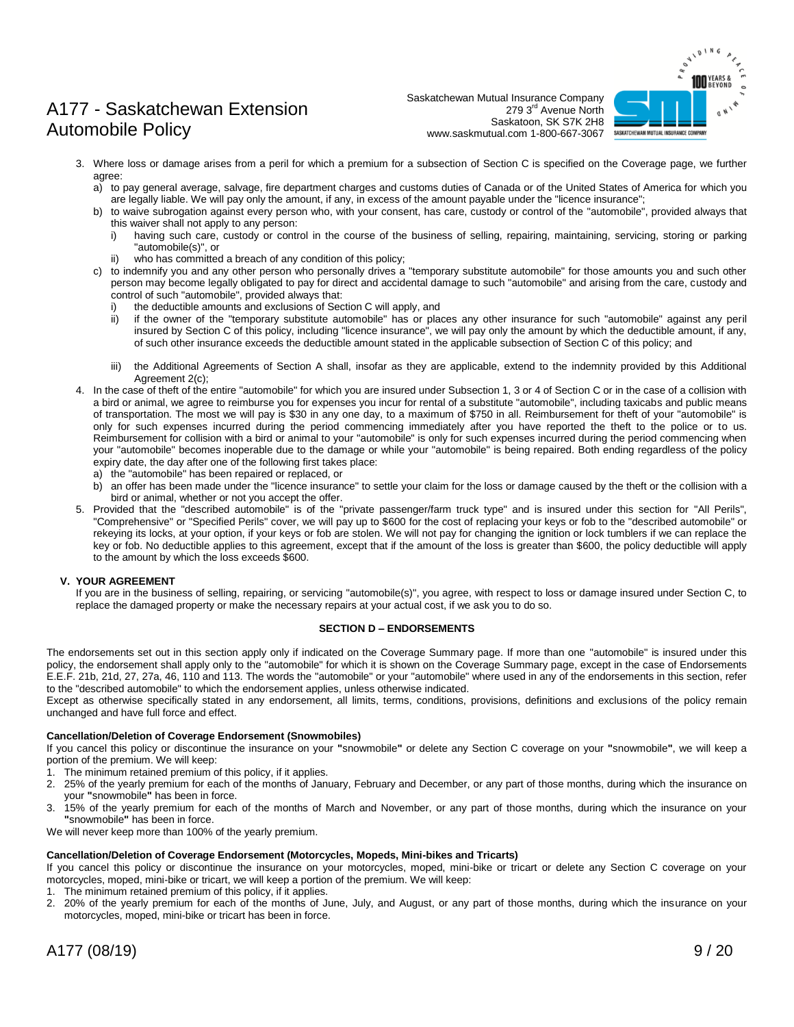

Saskatchewan Mutual Insurance Company 279 3rd Avenue North Saskatoon, SK S7K 2H8 www.saskmutual.com 1-800-667-3067

- 3. Where loss or damage arises from a peril for which a premium for a subsection of Section C is specified on the Coverage page, we further agree:
	- a) to pay general average, salvage, fire department charges and customs duties of Canada or of the United States of America for which you are legally liable. We will pay only the amount, if any, in excess of the amount payable under the "licence insurance";
	- b) to waive subrogation against every person who, with your consent, has care, custody or control of the "automobile", provided always that this waiver shall not apply to any person:
		- i) having such care, custody or control in the course of the business of selling, repairing, maintaining, servicing, storing or parking "automobile(s)", or
		- ii) who has committed a breach of any condition of this policy;
	- c) to indemnify you and any other person who personally drives a "temporary substitute automobile" for those amounts you and such other person may become legally obligated to pay for direct and accidental damage to such "automobile" and arising from the care, custody and control of such "automobile", provided always that:
		- i) the deductible amounts and exclusions of Section C will apply, and
		- ii) if the owner of the "temporary substitute automobile" has or places any other insurance for such "automobile" against any peril insured by Section C of this policy, including "licence insurance", we will pay only the amount by which the deductible amount, if any, of such other insurance exceeds the deductible amount stated in the applicable subsection of Section C of this policy; and
		- iii) the Additional Agreements of Section A shall, insofar as they are applicable, extend to the indemnity provided by this Additional Agreement 2(c);
- 4. In the case of theft of the entire "automobile" for which you are insured under Subsection 1, 3 or 4 of Section C or in the case of a collision with a bird or animal, we agree to reimburse you for expenses you incur for rental of a substitute "automobile", including taxicabs and public means of transportation. The most we will pay is \$30 in any one day, to a maximum of \$750 in all. Reimbursement for theft of your "automobile" is only for such expenses incurred during the period commencing immediately after you have reported the theft to the police or to us. Reimbursement for collision with a bird or animal to your "automobile" is only for such expenses incurred during the period commencing when your "automobile" becomes inoperable due to the damage or while your "automobile" is being repaired. Both ending regardless of the policy expiry date, the day after one of the following first takes place:
	- a) the "automobile" has been repaired or replaced, or
	- b) an offer has been made under the "licence insurance" to settle your claim for the loss or damage caused by the theft or the collision with a bird or animal, whether or not you accept the offer.
- 5. Provided that the "described automobile" is of the "private passenger/farm truck type" and is insured under this section for "All Perils", "Comprehensive" or "Specified Perils" cover, we will pay up to \$600 for the cost of replacing your keys or fob to the "described automobile" or rekeying its locks, at your option, if your keys or fob are stolen. We will not pay for changing the ignition or lock tumblers if we can replace the key or fob. No deductible applies to this agreement, except that if the amount of the loss is greater than \$600, the policy deductible will apply to the amount by which the loss exceeds \$600.

#### **V. YOUR AGREEMENT**

If you are in the business of selling, repairing, or servicing "automobile(s)", you agree, with respect to loss or damage insured under Section C, to replace the damaged property or make the necessary repairs at your actual cost, if we ask you to do so.

#### **SECTION D – ENDORSEMENTS**

The endorsements set out in this section apply only if indicated on the Coverage Summary page. If more than one "automobile" is insured under this policy, the endorsement shall apply only to the "automobile" for which it is shown on the Coverage Summary page, except in the case of Endorsements E.E.F. 21b, 21d, 27, 27a, 46, 110 and 113. The words the "automobile" or your "automobile" where used in any of the endorsements in this section, refer to the "described automobile" to which the endorsement applies, unless otherwise indicated.

Except as otherwise specifically stated in any endorsement, all limits, terms, conditions, provisions, definitions and exclusions of the policy remain unchanged and have full force and effect.

#### **Cancellation/Deletion of Coverage Endorsement (Snowmobiles)**

If you cancel this policy or discontinue the insurance on your **"**snowmobile**"** or delete any Section C coverage on your **"**snowmobile**"**, we will keep a portion of the premium. We will keep:

- 1. The minimum retained premium of this policy, if it applies.
- 2. 25% of the yearly premium for each of the months of January, February and December, or any part of those months, during which the insurance on your **"**snowmobile**"** has been in force.
- 3. 15% of the yearly premium for each of the months of March and November, or any part of those months, during which the insurance on your **"**snowmobile**"** has been in force.

We will never keep more than 100% of the yearly premium.

#### **Cancellation/Deletion of Coverage Endorsement (Motorcycles, Mopeds, Mini-bikes and Tricarts)**

If you cancel this policy or discontinue the insurance on your motorcycles, moped, mini-bike or tricart or delete any Section C coverage on your motorcycles, moped, mini-bike or tricart, we will keep a portion of the premium. We will keep:

- 1. The minimum retained premium of this policy, if it applies.
- 2. 20% of the yearly premium for each of the months of June, July, and August, or any part of those months, during which the insurance on your motorcycles, moped, mini-bike or tricart has been in force.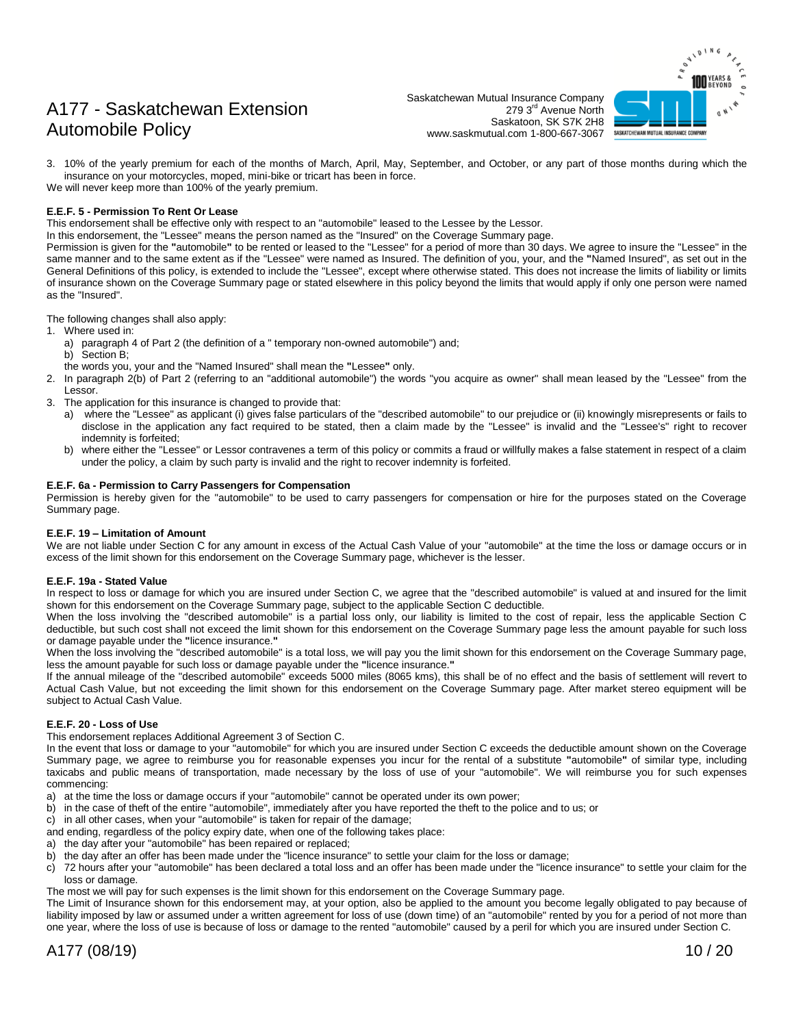Saskatchewan Mutual Insurance Company 279 3rd Avenue North Saskatoon, SK S7K 2H8 www.saskmutual.com 1-800-667-3067



3. 10% of the yearly premium for each of the months of March, April, May, September, and October, or any part of those months during which the insurance on your motorcycles, moped, mini-bike or tricart has been in force. We will never keep more than 100% of the yearly premium.

#### **E.E.F. 5 - Permission To Rent Or Lease**

This endorsement shall be effective only with respect to an "automobile" leased to the Lessee by the Lessor.

In this endorsement, the "Lessee" means the person named as the "Insured" on the Coverage Summary page.

Permission is given for the **"**automobile**"** to be rented or leased to the "Lessee" for a period of more than 30 days. We agree to insure the "Lessee" in the same manner and to the same extent as if the "Lessee" were named as Insured. The definition of you, your, and the **"**Named Insured", as set out in the General Definitions of this policy, is extended to include the "Lessee", except where otherwise stated. This does not increase the limits of liability or limits of insurance shown on the Coverage Summary page or stated elsewhere in this policy beyond the limits that would apply if only one person were named as the "Insured".

The following changes shall also apply:

- 1. Where used in:
	- a) paragraph 4 of Part 2 (the definition of a " temporary non-owned automobile") and;
	- b) Section B;
	- the words you, your and the "Named Insured" shall mean the **"**Lessee**"** only.
- 2. In paragraph 2(b) of Part 2 (referring to an "additional automobile") the words "you acquire as owner" shall mean leased by the "Lessee" from the Lessor.
- 3. The application for this insurance is changed to provide that:
	- a) where the "Lessee" as applicant (i) gives false particulars of the "described automobile" to our prejudice or (ii) knowingly misrepresents or fails to disclose in the application any fact required to be stated, then a claim made by the "Lessee" is invalid and the "Lessee's" right to recover indemnity is forfeited;
	- b) where either the "Lessee" or Lessor contravenes a term of this policy or commits a fraud or willfully makes a false statement in respect of a claim under the policy, a claim by such party is invalid and the right to recover indemnity is forfeited.

#### **E.E.F. 6a - Permission to Carry Passengers for Compensation**

Permission is hereby given for the "automobile" to be used to carry passengers for compensation or hire for the purposes stated on the Coverage Summary page.

#### **E.E.F. 19 – Limitation of Amount**

We are not liable under Section C for any amount in excess of the Actual Cash Value of your "automobile" at the time the loss or damage occurs or in excess of the limit shown for this endorsement on the Coverage Summary page, whichever is the lesser.

#### **E.E.F. 19a - Stated Value**

In respect to loss or damage for which you are insured under Section C, we agree that the "described automobile" is valued at and insured for the limit shown for this endorsement on the Coverage Summary page, subject to the applicable Section C deductible.

When the loss involving the "described automobile" is a partial loss only, our liability is limited to the cost of repair, less the applicable Section C deductible, but such cost shall not exceed the limit shown for this endorsement on the Coverage Summary page less the amount payable for such loss or damage payable under the **"**licence insurance.**"**

When the loss involving the "described automobile" is a total loss, we will pay you the limit shown for this endorsement on the Coverage Summary page, less the amount payable for such loss or damage payable under the **"**licence insurance.**"**

If the annual mileage of the "described automobile" exceeds 5000 miles (8065 kms), this shall be of no effect and the basis of settlement will revert to Actual Cash Value, but not exceeding the limit shown for this endorsement on the Coverage Summary page. After market stereo equipment will be subject to Actual Cash Value.

#### **E.E.F. 20 - Loss of Use**

This endorsement replaces Additional Agreement 3 of Section C.

In the event that loss or damage to your "automobile" for which you are insured under Section C exceeds the deductible amount shown on the Coverage Summary page, we agree to reimburse you for reasonable expenses you incur for the rental of a substitute **"**automobile**"** of similar type, including taxicabs and public means of transportation, made necessary by the loss of use of your "automobile". We will reimburse you for such expenses commencing:

- a) at the time the loss or damage occurs if your "automobile" cannot be operated under its own power;
- b) in the case of theft of the entire "automobile", immediately after you have reported the theft to the police and to us; or
- c) in all other cases, when your "automobile" is taken for repair of the damage;
- and ending, regardless of the policy expiry date, when one of the following takes place:
- a) the day after your "automobile" has been repaired or replaced;
- b) the day after an offer has been made under the "licence insurance" to settle your claim for the loss or damage;
- c) 72 hours after your "automobile" has been declared a total loss and an offer has been made under the "licence insurance" to settle your claim for the loss or damage.
- The most we will pay for such expenses is the limit shown for this endorsement on the Coverage Summary page.

The Limit of Insurance shown for this endorsement may, at your option, also be applied to the amount you become legally obligated to pay because of liability imposed by law or assumed under a written agreement for loss of use (down time) of an "automobile" rented by you for a period of not more than one year, where the loss of use is because of loss or damage to the rented "automobile" caused by a peril for which you are insured under Section C.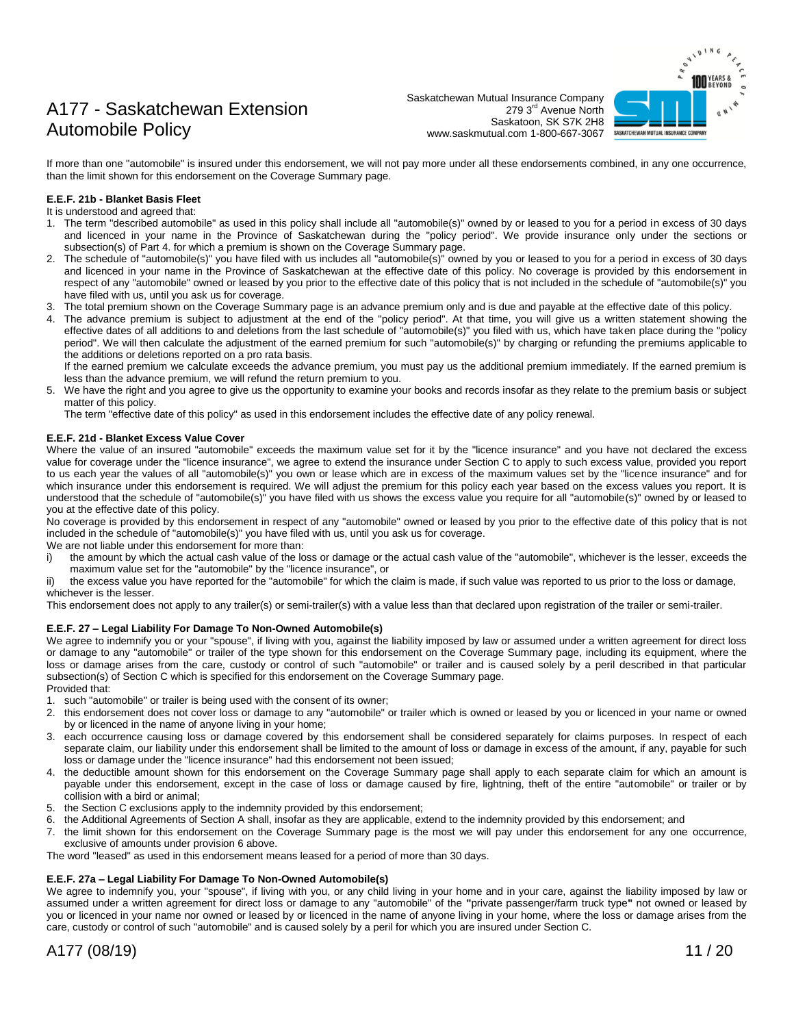Saskatchewan Mutual Insurance Company 279 3rd Avenue North Saskatoon, SK S7K 2H8 www.saskmutual.com 1-800-667-3067



If more than one "automobile" is insured under this endorsement, we will not pay more under all these endorsements combined, in any one occurrence, than the limit shown for this endorsement on the Coverage Summary page.

#### **E.E.F. 21b - Blanket Basis Fleet**

#### It is understood and agreed that:

- 1. The term "described automobile" as used in this policy shall include all "automobile(s)" owned by or leased to you for a period in excess of 30 days and licenced in your name in the Province of Saskatchewan during the "policy period". We provide insurance only under the sections or subsection(s) of Part 4. for which a premium is shown on the Coverage Summary page.
- 2. The schedule of "automobile(s)" you have filed with us includes all "automobile(s)" owned by you or leased to you for a period in excess of 30 days and licenced in your name in the Province of Saskatchewan at the effective date of this policy. No coverage is provided by this endorsement in respect of any "automobile" owned or leased by you prior to the effective date of this policy that is not included in the schedule of "automobile(s)" you have filed with us, until you ask us for coverage.
- 3. The total premium shown on the Coverage Summary page is an advance premium only and is due and payable at the effective date of this policy.
- 4. The advance premium is subject to adjustment at the end of the "policy period". At that time, you will give us a written statement showing the effective dates of all additions to and deletions from the last schedule of "automobile(s)" you filed with us, which have taken place during the "policy period". We will then calculate the adjustment of the earned premium for such "automobile(s)" by charging or refunding the premiums applicable to the additions or deletions reported on a pro rata basis.

If the earned premium we calculate exceeds the advance premium, you must pay us the additional premium immediately. If the earned premium is less than the advance premium, we will refund the return premium to you.

5. We have the right and you agree to give us the opportunity to examine your books and records insofar as they relate to the premium basis or subject matter of this policy.

The term "effective date of this policy" as used in this endorsement includes the effective date of any policy renewal.

#### **E.E.F. 21d - Blanket Excess Value Cover**

Where the value of an insured "automobile" exceeds the maximum value set for it by the "licence insurance" and you have not declared the excess value for coverage under the "licence insurance", we agree to extend the insurance under Section C to apply to such excess value, provided you report to us each year the values of all "automobile(s)" you own or lease which are in excess of the maximum values set by the "licence insurance" and for which insurance under this endorsement is required. We will adjust the premium for this policy each year based on the excess values you report. It is understood that the schedule of "automobile(s)" you have filed with us shows the excess value you require for all "automobile(s)" owned by or leased to you at the effective date of this policy.

No coverage is provided by this endorsement in respect of any "automobile" owned or leased by you prior to the effective date of this policy that is not included in the schedule of "automobile(s)" you have filed with us, until you ask us for coverage.

We are not liable under this endorsement for more than:

- i) the amount by which the actual cash value of the loss or damage or the actual cash value of the "automobile", whichever is the lesser, exceeds the maximum value set for the "automobile" by the "licence insurance", or
- the excess value you have reported for the "automobile" for which the claim is made, if such value was reported to us prior to the loss or damage, whichever is the lesser.

This endorsement does not apply to any trailer(s) or semi-trailer(s) with a value less than that declared upon registration of the trailer or semi-trailer.

#### **E.E.F. 27 – Legal Liability For Damage To Non-Owned Automobile(s)**

We agree to indemnify you or your "spouse", if living with you, against the liability imposed by law or assumed under a written agreement for direct loss or damage to any "automobile" or trailer of the type shown for this endorsement on the Coverage Summary page, including its equipment, where the loss or damage arises from the care, custody or control of such "automobile" or trailer and is caused solely by a peril described in that particular subsection(s) of Section C which is specified for this endorsement on the Coverage Summary page. Provided that:

- 1. such "automobile" or trailer is being used with the consent of its owner;
- 2. this endorsement does not cover loss or damage to any "automobile" or trailer which is owned or leased by you or licenced in your name or owned by or licenced in the name of anyone living in your home;
- 3. each occurrence causing loss or damage covered by this endorsement shall be considered separately for claims purposes. In respect of each separate claim, our liability under this endorsement shall be limited to the amount of loss or damage in excess of the amount, if any, payable for such loss or damage under the "licence insurance" had this endorsement not been issued;
- 4. the deductible amount shown for this endorsement on the Coverage Summary page shall apply to each separate claim for which an amount is payable under this endorsement, except in the case of loss or damage caused by fire, lightning, theft of the entire "automobile" or trailer or by collision with a bird or animal;
- 5. the Section C exclusions apply to the indemnity provided by this endorsement;
- 6. the Additional Agreements of Section A shall, insofar as they are applicable, extend to the indemnity provided by this endorsement; and
- 7. the limit shown for this endorsement on the Coverage Summary page is the most we will pay under this endorsement for any one occurrence, exclusive of amounts under provision 6 above.

The word "leased" as used in this endorsement means leased for a period of more than 30 days.

#### **E.E.F. 27a – Legal Liability For Damage To Non-Owned Automobile(s)**

We agree to indemnify you, your "spouse", if living with you, or any child living in your home and in your care, against the liability imposed by law or assumed under a written agreement for direct loss or damage to any "automobile" of the **"**private passenger/farm truck type**"** not owned or leased by you or licenced in your name nor owned or leased by or licenced in the name of anyone living in your home, where the loss or damage arises from the care, custody or control of such "automobile" and is caused solely by a peril for which you are insured under Section C.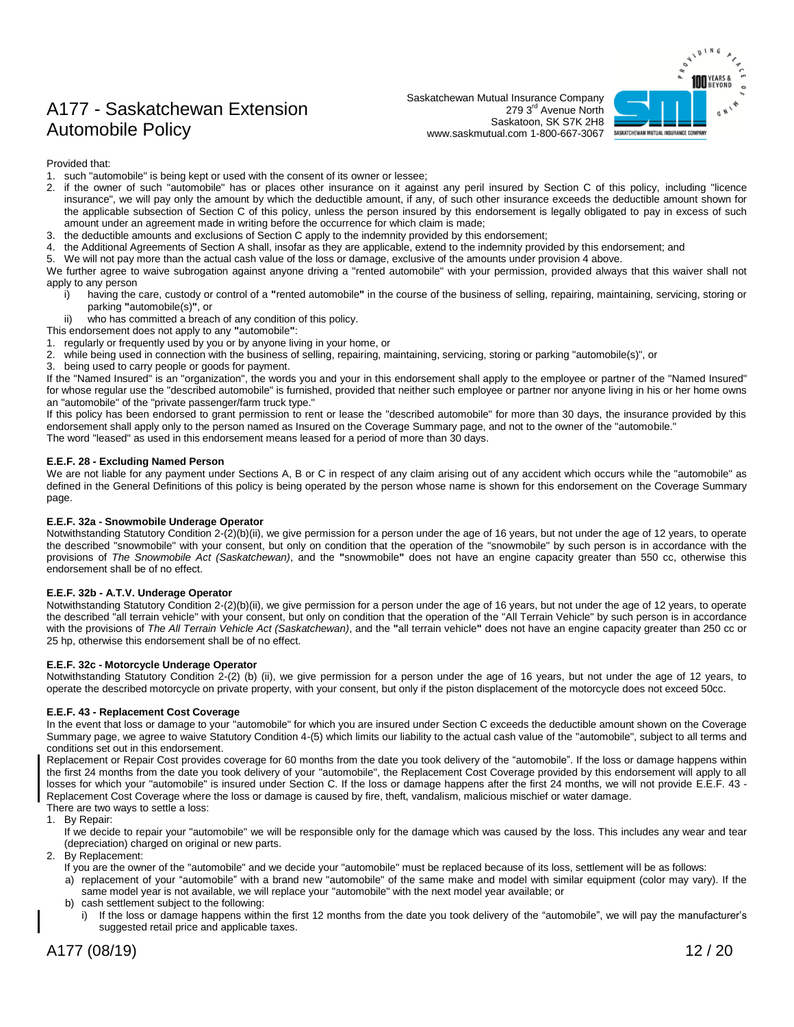Saskatchewan Mutual Insurance Company 279 3<sup>rd</sup> Avenue North Saskatoon, SK S7K 2H8 www.saskmutual.com 1-800-667-3067



Provided that:

- 1. such "automobile" is being kept or used with the consent of its owner or lessee;
- 2. if the owner of such "automobile" has or places other insurance on it against any peril insured by Section C of this policy, including "licence insurance", we will pay only the amount by which the deductible amount, if any, of such other insurance exceeds the deductible amount shown for the applicable subsection of Section C of this policy, unless the person insured by this endorsement is legally obligated to pay in excess of such amount under an agreement made in writing before the occurrence for which claim is made;
- 3. the deductible amounts and exclusions of Section C apply to the indemnity provided by this endorsement;
- 4. the Additional Agreements of Section A shall, insofar as they are applicable, extend to the indemnity provided by this endorsement; and
- 5. We will not pay more than the actual cash value of the loss or damage, exclusive of the amounts under provision 4 above.

We further agree to waive subrogation against anyone driving a "rented automobile" with your permission, provided always that this waiver shall not apply to any person

- having the care, custody or control of a "rented automobile" in the course of the business of selling, repairing, maintaining, servicing, storing or parking **"**automobile(s)**"**, or
- ii) who has committed a breach of any condition of this policy.
- This endorsement does not apply to any **"**automobile**"**:
- 1. regularly or frequently used by you or by anyone living in your home, or
- 2. while being used in connection with the business of selling, repairing, maintaining, servicing, storing or parking "automobile(s)", or
- 3. being used to carry people or goods for payment.

If the "Named Insured" is an "organization", the words you and your in this endorsement shall apply to the employee or partner of the "Named Insured" for whose regular use the "described automobile" is furnished, provided that neither such employee or partner nor anyone living in his or her home owns an "automobile" of the "private passenger/farm truck type."

If this policy has been endorsed to grant permission to rent or lease the "described automobile" for more than 30 days, the insurance provided by this endorsement shall apply only to the person named as Insured on the Coverage Summary page, and not to the owner of the "automobile." The word "leased" as used in this endorsement means leased for a period of more than 30 days.

**E.E.F. 28 - Excluding Named Person**

We are not liable for any payment under Sections A, B or C in respect of any claim arising out of any accident which occurs while the "automobile" as defined in the General Definitions of this policy is being operated by the person whose name is shown for this endorsement on the Coverage Summary page.

#### **E.E.F. 32a - Snowmobile Underage Operator**

Notwithstanding Statutory Condition 2-(2)(b)(ii), we give permission for a person under the age of 16 years, but not under the age of 12 years, to operate the described "snowmobile" with your consent, but only on condition that the operation of the "snowmobile" by such person is in accordance with the provisions of *The Snowmobile Act (Saskatchewan)*, and the **"**snowmobile**"** does not have an engine capacity greater than 550 cc, otherwise this endorsement shall be of no effect.

#### **E.E.F. 32b - A.T.V. Underage Operator**

Notwithstanding Statutory Condition 2-(2)(b)(ii), we give permission for a person under the age of 16 years, but not under the age of 12 years, to operate the described "all terrain vehicle" with your consent, but only on condition that the operation of the "All Terrain Vehicle" by such person is in accordance with the provisions of *The All Terrain Vehicle Act (Saskatchewan)*, and the **"**all terrain vehicle**"** does not have an engine capacity greater than 250 cc or 25 hp, otherwise this endorsement shall be of no effect.

#### **E.E.F. 32c - Motorcycle Underage Operator**

Notwithstanding Statutory Condition 2-(2) (b) (ii), we give permission for a person under the age of 16 years, but not under the age of 12 years, to operate the described motorcycle on private property, with your consent, but only if the piston displacement of the motorcycle does not exceed 50cc.

#### **E.E.F. 43 - Replacement Cost Coverage**

In the event that loss or damage to your "automobile" for which you are insured under Section C exceeds the deductible amount shown on the Coverage Summary page, we agree to waive Statutory Condition 4-(5) which limits our liability to the actual cash value of the "automobile", subject to all terms and conditions set out in this endorsement.

Replacement or Repair Cost provides coverage for 60 months from the date you took delivery of the "automobile". If the loss or damage happens within the first 24 months from the date you took delivery of your "automobile", the Replacement Cost Coverage provided by this endorsement will apply to all losses for which your "automobile" is insured under Section C. If the loss or damage happens after the first 24 months, we will not provide E.E.F. 43 - Replacement Cost Coverage where the loss or damage is caused by fire, theft, vandalism, malicious mischief or water damage.

There are two ways to settle a loss:

1. By Repair:

If we decide to repair your "automobile" we will be responsible only for the damage which was caused by the loss. This includes any wear and tear (depreciation) charged on original or new parts.

- 2. By Replacement:
	- If you are the owner of the "automobile" and we decide your "automobile" must be replaced because of its loss, settlement will be as follows:
	- a) replacement of your "automobile" with a brand new "automobile" of the same make and model with similar equipment (color may vary). If the same model year is not available, we will replace your "automobile" with the next model year available; or
	- b) cash settlement subject to the following:
		- i) If the loss or damage happens within the first 12 months from the date you took delivery of the "automobile", we will pay the manufacturer's suggested retail price and applicable taxes.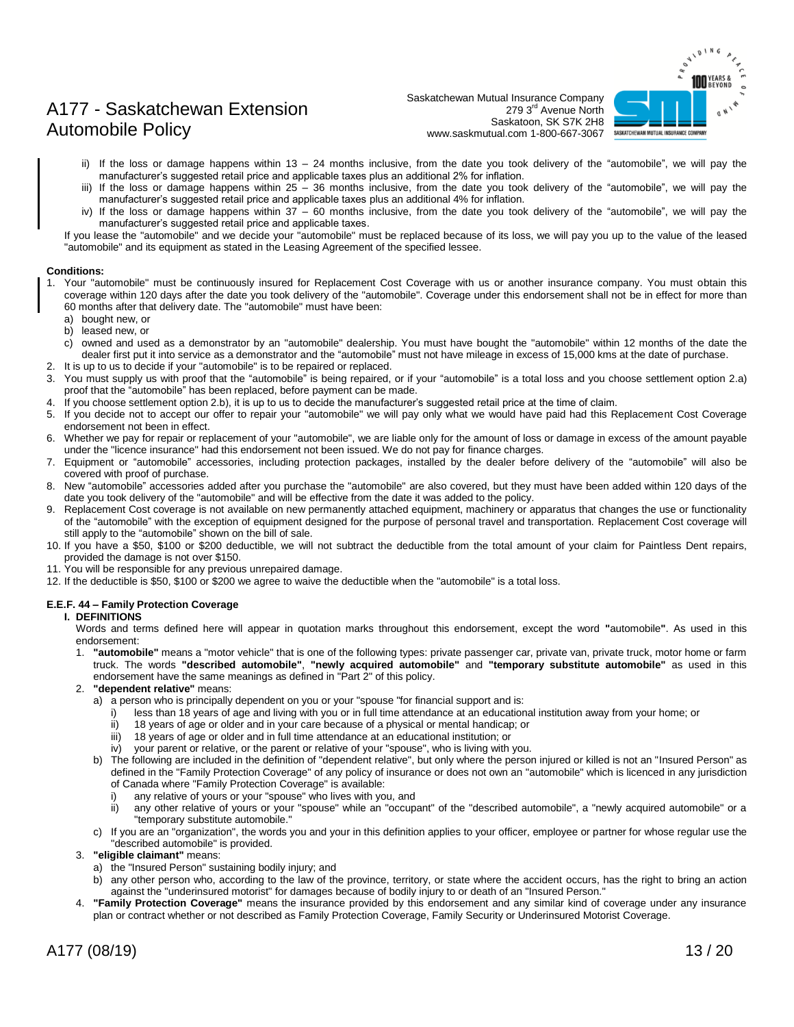

Saskatchewan Mutual Insurance Company 279 3rd Avenue North Saskatoon, SK S7K 2H8 www.saskmutual.com 1-800-667-3067

- ii) If the loss or damage happens within 13 24 months inclusive, from the date you took delivery of the "automobile", we will pay the manufacturer's suggested retail price and applicable taxes plus an additional 2% for inflation.
- iii) If the loss or damage happens within 25 36 months inclusive, from the date you took delivery of the "automobile", we will pay the manufacturer's suggested retail price and applicable taxes plus an additional 4% for inflation.
- iv) If the loss or damage happens within 37 60 months inclusive, from the date you took delivery of the "automobile", we will pay the manufacturer's suggested retail price and applicable taxes.

If you lease the "automobile" and we decide your "automobile" must be replaced because of its loss, we will pay you up to the value of the leased "automobile" and its equipment as stated in the Leasing Agreement of the specified lessee.

#### **Conditions:**

- 1. Your "automobile" must be continuously insured for Replacement Cost Coverage with us or another insurance company. You must obtain this coverage within 120 days after the date you took delivery of the "automobile". Coverage under this endorsement shall not be in effect for more than 60 months after that delivery date. The "automobile" must have been:
	- a) bought new, or
	- b) leased new, or
	- c) owned and used as a demonstrator by an "automobile" dealership. You must have bought the "automobile" within 12 months of the date the dealer first put it into service as a demonstrator and the "automobile" must not have mileage in excess of 15,000 kms at the date of purchase.
- 2. It is up to us to decide if your "automobile" is to be repaired or replaced.
- 3. You must supply us with proof that the "automobile" is being repaired, or if your "automobile" is a total loss and you choose settlement option 2.a) proof that the "automobile" has been replaced, before payment can be made.
- 4. If you choose settlement option 2.b), it is up to us to decide the manufacturer's suggested retail price at the time of claim.
- 5. If you decide not to accept our offer to repair your "automobile" we will pay only what we would have paid had this Replacement Cost Coverage endorsement not been in effect.
- 6. Whether we pay for repair or replacement of your "automobile", we are liable only for the amount of loss or damage in excess of the amount payable under the "licence insurance" had this endorsement not been issued. We do not pay for finance charges.
- 7. Equipment or "automobile" accessories, including protection packages, installed by the dealer before delivery of the "automobile" will also be covered with proof of purchase.
- New "automobile" accessories added after you purchase the "automobile" are also covered, but they must have been added within 120 days of the date you took delivery of the "automobile" and will be effective from the date it was added to the policy.
- 9. Replacement Cost coverage is not available on new permanently attached equipment, machinery or apparatus that changes the use or functionality of the "automobile" with the exception of equipment designed for the purpose of personal travel and transportation. Replacement Cost coverage will still apply to the "automobile" shown on the bill of sale.
- 10. If you have a \$50, \$100 or \$200 deductible, we will not subtract the deductible from the total amount of your claim for Paintless Dent repairs, provided the damage is not over \$150.
- 11. You will be responsible for any previous unrepaired damage.
- 12. If the deductible is \$50, \$100 or \$200 we agree to waive the deductible when the "automobile" is a total loss.

#### **E.E.F. 44 – Family Protection Coverage**

#### **I. DEFINITIONS**

Words and terms defined here will appear in quotation marks throughout this endorsement, except the word **"**automobile**"**. As used in this endorsement:

1. **"automobile"** means a "motor vehicle" that is one of the following types: private passenger car, private van, private truck, motor home or farm truck. The words **"described automobile"**, **"newly acquired automobile"** and **"temporary substitute automobile"** as used in this endorsement have the same meanings as defined in "Part 2" of this policy.

#### 2. **"dependent relative"** means:

- a) a person who is principally dependent on you or your "spouse "for financial support and is:
	- i) less than 18 years of age and living with you or in full time attendance at an educational institution away from your home; or
	- ii) 18 years of age or older and in your care because of a physical or mental handicap; or
	- iii) 18 years of age or older and in full time attendance at an educational institution; or
	- iv) your parent or relative, or the parent or relative of your "spouse", who is living with you.
- b) The following are included in the definition of "dependent relative", but only where the person injured or killed is not an "Insured Person" as defined in the "Family Protection Coverage" of any policy of insurance or does not own an "automobile" which is licenced in any jurisdiction of Canada where "Family Protection Coverage" is available:
	- i) any relative of yours or your "spouse" who lives with you, and
	- ii) any other relative of yours or your "spouse" while an "occupant" of the "described automobile", a "newly acquired automobile" or a "temporary substitute automobile."
- c) If you are an "organization", the words you and your in this definition applies to your officer, employee or partner for whose regular use the "described automobile" is provided.
- 3. **"eligible claimant"** means:
	- a) the "Insured Person" sustaining bodily injury; and
	- b) any other person who, according to the law of the province, territory, or state where the accident occurs, has the right to bring an action against the "underinsured motorist" for damages because of bodily injury to or death of an "Insured Person."
- 4. **"Family Protection Coverage"** means the insurance provided by this endorsement and any similar kind of coverage under any insurance plan or contract whether or not described as Family Protection Coverage, Family Security or Underinsured Motorist Coverage.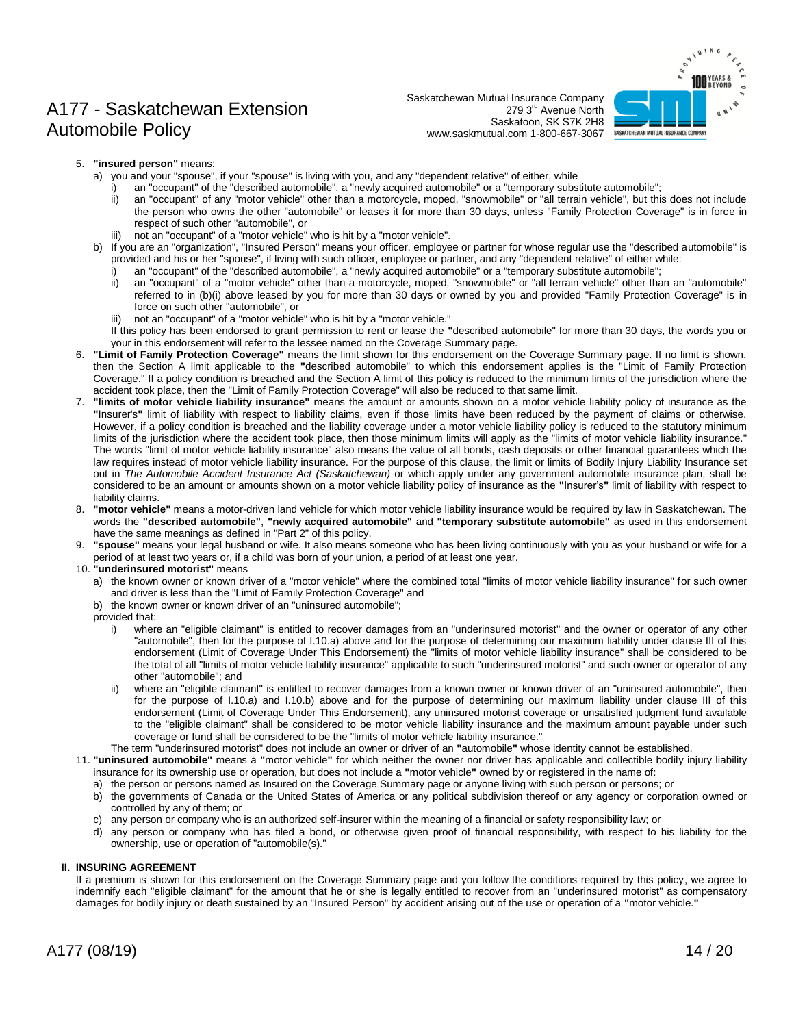Saskatchewan Mutual Insurance Company 279 3rd Avenue North Saskatoon, SK S7K 2H8 www.saskmutual.com 1-800-667-3067



- 5. **"insured person"** means:
	- a) you and your "spouse", if your "spouse" is living with you, and any "dependent relative" of either, while
	- i) an "occupant" of the "described automobile", a "newly acquired automobile" or a "temporary substitute automobile";<br>ii) an "occupant" of any "motor vehicle" other than a motorcycle. moped. "snowmobile" or "all terrain ve
		- an "occupant" of any "motor vehicle" other than a motorcycle, moped, "snowmobile" or "all terrain vehicle", but this does not include the person who owns the other "automobile" or leases it for more than 30 days, unless "Family Protection Coverage" is in force in respect of such other "automobile", or
	- not an "occupant" of a "motor vehicle" who is hit by a "motor vehicle".
	- b) If you are an "organization", "Insured Person" means your officer, employee or partner for whose regular use the "described automobile" is provided and his or her "spouse", if living with such officer, employee or partner, and any "dependent relative" of either while:
		- i) an "occupant" of the "described automobile", a "newly acquired automobile" or a "temporary substitute automobile";
		- ii) an "occupant" of a "motor vehicle" other than a motorcycle, moped, "snowmobile" or "all terrain vehicle" other than an "automobile" referred to in (b)(i) above leased by you for more than 30 days or owned by you and provided "Family Protection Coverage" is in force on such other "automobile", or
		- iii) not an "occupant" of a "motor vehicle" who is hit by a "motor vehicle."
		- If this policy has been endorsed to grant permission to rent or lease the **"**described automobile" for more than 30 days, the words you or your in this endorsement will refer to the lessee named on the Coverage Summary page.
- 6. **"Limit of Family Protection Coverage"** means the limit shown for this endorsement on the Coverage Summary page. If no limit is shown, then the Section A limit applicable to the **"**described automobile" to which this endorsement applies is the "Limit of Family Protection Coverage." If a policy condition is breached and the Section A limit of this policy is reduced to the minimum limits of the jurisdiction where the accident took place, then the "Limit of Family Protection Coverage" will also be reduced to that same limit.
- 7. **"limits of motor vehicle liability insurance"** means the amount or amounts shown on a motor vehicle liability policy of insurance as the **"**Insurer's**"** limit of liability with respect to liability claims, even if those limits have been reduced by the payment of claims or otherwise. However, if a policy condition is breached and the liability coverage under a motor vehicle liability policy is reduced to the statutory minimum limits of the jurisdiction where the accident took place, then those minimum limits will apply as the "limits of motor vehicle liability insurance." The words "limit of motor vehicle liability insurance" also means the value of all bonds, cash deposits or other financial guarantees which the law requires instead of motor vehicle liability insurance. For the purpose of this clause, the limit or limits of Bodily Injury Liability Insurance set out in *The Automobile Accident Insurance Act (Saskatchewan)* or which apply under any government automobile insurance plan, shall be considered to be an amount or amounts shown on a motor vehicle liability policy of insurance as the **"**Insurer's**"** limit of liability with respect to liability claims.
- 8. **"motor vehicle"** means a motor-driven land vehicle for which motor vehicle liability insurance would be required by law in Saskatchewan. The words the **"described automobile"**, **"newly acquired automobile"** and **"temporary substitute automobile"** as used in this endorsement have the same meanings as defined in "Part 2" of this policy.
- 9. **"spouse"** means your legal husband or wife. It also means someone who has been living continuously with you as your husband or wife for a period of at least two years or, if a child was born of your union, a period of at least one year.
- 10. **"underinsured motorist"** means
	- a) the known owner or known driver of a "motor vehicle" where the combined total "limits of motor vehicle liability insurance" for such owner and driver is less than the "Limit of Family Protection Coverage" and
	- b) the known owner or known driver of an "uninsured automobile";
	- provided that:
		- i) where an "eligible claimant" is entitled to recover damages from an "underinsured motorist" and the owner or operator of any other "automobile", then for the purpose of I.10.a) above and for the purpose of determining our maximum liability under clause III of this endorsement (Limit of Coverage Under This Endorsement) the "limits of motor vehicle liability insurance" shall be considered to be the total of all "limits of motor vehicle liability insurance" applicable to such "underinsured motorist" and such owner or operator of any other "automobile"; and
		- ii) where an "eligible claimant" is entitled to recover damages from a known owner or known driver of an "uninsured automobile", then for the purpose of I.10.a) and I.10.b) above and for the purpose of determining our maximum liability under clause III of this endorsement (Limit of Coverage Under This Endorsement), any uninsured motorist coverage or unsatisfied judgment fund available to the "eligible claimant" shall be considered to be motor vehicle liability insurance and the maximum amount payable under such coverage or fund shall be considered to be the "limits of motor vehicle liability insurance."
- The term "underinsured motorist" does not include an owner or driver of an **"**automobile**"** whose identity cannot be established.
- 11. **"uninsured automobile"** means a **"**motor vehicle**"** for which neither the owner nor driver has applicable and collectible bodily injury liability insurance for its ownership use or operation, but does not include a **"**motor vehicle**"** owned by or registered in the name of:
	- a) the person or persons named as Insured on the Coverage Summary page or anyone living with such person or persons; or
	- b) the governments of Canada or the United States of America or any political subdivision thereof or any agency or corporation owned or controlled by any of them; or
	- c) any person or company who is an authorized self-insurer within the meaning of a financial or safety responsibility law; or
	- d) any person or company who has filed a bond, or otherwise given proof of financial responsibility, with respect to his liability for the ownership, use or operation of "automobile(s)."

#### **II. INSURING AGREEMENT**

If a premium is shown for this endorsement on the Coverage Summary page and you follow the conditions required by this policy, we agree to indemnify each "eligible claimant" for the amount that he or she is legally entitled to recover from an "underinsured motorist" as compensatory damages for bodily injury or death sustained by an "Insured Person" by accident arising out of the use or operation of a **"**motor vehicle.**"**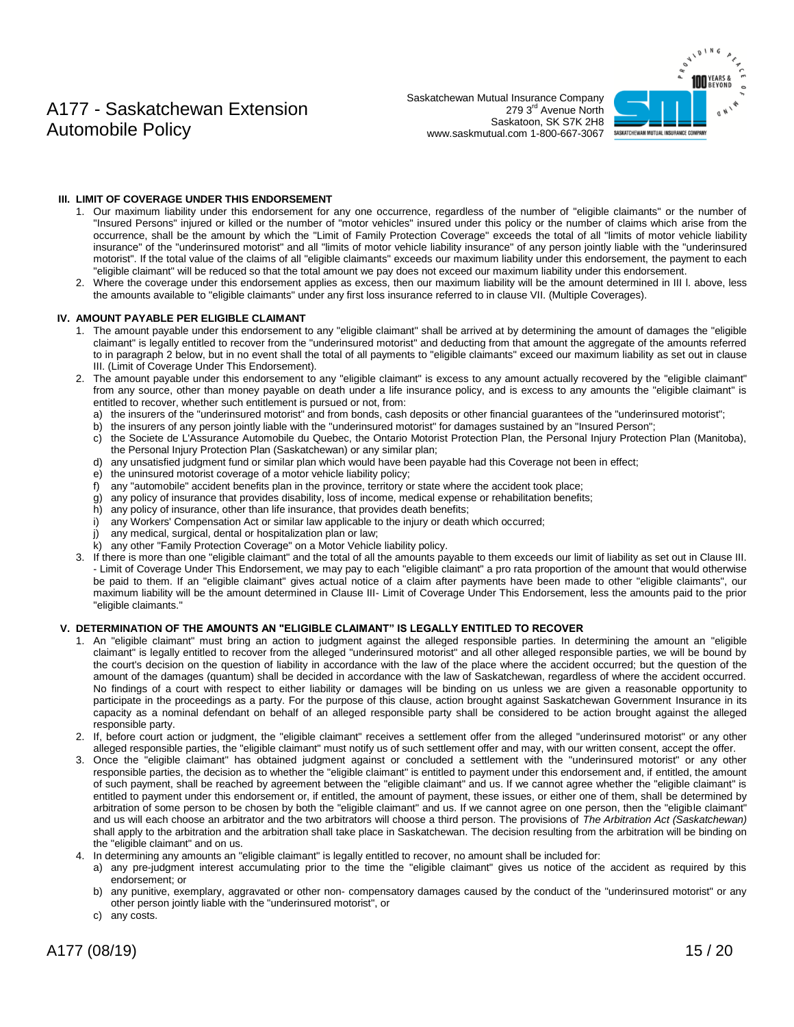Saskatchewan Mutual Insurance Company 279 3rd Avenue North Saskatoon, SK S7K 2H8 www.saskmutual.com 1-800-667-3067



#### **III. LIMIT OF COVERAGE UNDER THIS ENDORSEMENT**

- 1. Our maximum liability under this endorsement for any one occurrence, regardless of the number of "eligible claimants" or the number of "Insured Persons" injured or killed or the number of "motor vehicles" insured under this policy or the number of claims which arise from the occurrence, shall be the amount by which the "Limit of Family Protection Coverage" exceeds the total of all "limits of motor vehicle liability insurance" of the "underinsured motorist" and all "limits of motor vehicle liability insurance" of any person jointly liable with the "underinsured motorist". If the total value of the claims of all "eligible claimants" exceeds our maximum liability under this endorsement, the payment to each "eligible claimant" will be reduced so that the total amount we pay does not exceed our maximum liability under this endorsement.
- 2. Where the coverage under this endorsement applies as excess, then our maximum liability will be the amount determined in III l. above, less the amounts available to "eligible claimants" under any first loss insurance referred to in clause VII. (Multiple Coverages).

#### **IV. AMOUNT PAYABLE PER ELIGIBLE CLAIMANT**

- 1. The amount payable under this endorsement to any "eligible claimant" shall be arrived at by determining the amount of damages the "eligible claimant" is legally entitled to recover from the "underinsured motorist" and deducting from that amount the aggregate of the amounts referred to in paragraph 2 below, but in no event shall the total of all payments to "eligible claimants" exceed our maximum liability as set out in clause III. (Limit of Coverage Under This Endorsement).
- 2. The amount payable under this endorsement to any "eligible claimant" is excess to any amount actually recovered by the "eligible claimant" from any source, other than money payable on death under a life insurance policy, and is excess to any amounts the "eligible claimant" is entitled to recover, whether such entitlement is pursued or not, from:
	- a) the insurers of the "underinsured motorist" and from bonds, cash deposits or other financial guarantees of the "underinsured motorist";
	- b) the insurers of any person jointly liable with the "underinsured motorist" for damages sustained by an "Insured Person";
	- c) the Societe de L'Assurance Automobile du Quebec, the Ontario Motorist Protection Plan, the Personal Injury Protection Plan (Manitoba), the Personal Injury Protection Plan (Saskatchewan) or any similar plan;
	- d) any unsatisfied judgment fund or similar plan which would have been payable had this Coverage not been in effect;
	- e) the uninsured motorist coverage of a motor vehicle liability policy;
	- f) any "automobile" accident benefits plan in the province, territory or state where the accident took place;
	- g) any policy of insurance that provides disability, loss of income, medical expense or rehabilitation benefits;
	- h) any policy of insurance, other than life insurance, that provides death benefits;
	- i) any Workers' Compensation Act or similar law applicable to the injury or death which occurred;
	- j) any medical, surgical, dental or hospitalization plan or law;
	- k) any other "Family Protection Coverage" on a Motor Vehicle liability policy.
- 3. If there is more than one "eligible claimant" and the total of all the amounts payable to them exceeds our limit of liability as set out in Clause III. - Limit of Coverage Under This Endorsement, we may pay to each "eligible claimant" a pro rata proportion of the amount that would otherwise be paid to them. If an "eligible claimant" gives actual notice of a claim after payments have been made to other "eligible claimants", our maximum liability will be the amount determined in Clause III- Limit of Coverage Under This Endorsement, less the amounts paid to the prior "eligible claimants."

#### **V. DETERMINATION OF THE AMOUNTS AN "ELIGIBLE CLAIMANT" IS LEGALLY ENTITLED TO RECOVER**

- 1. An "eligible claimant" must bring an action to judgment against the alleged responsible parties. In determining the amount an "eligible claimant" is legally entitled to recover from the alleged "underinsured motorist" and all other alleged responsible parties, we will be bound by the court's decision on the question of liability in accordance with the law of the place where the accident occurred; but the question of the amount of the damages (quantum) shall be decided in accordance with the law of Saskatchewan, regardless of where the accident occurred. No findings of a court with respect to either liability or damages will be binding on us unless we are given a reasonable opportunity to participate in the proceedings as a party. For the purpose of this clause, action brought against Saskatchewan Government Insurance in its capacity as a nominal defendant on behalf of an alleged responsible party shall be considered to be action brought against the alleged responsible party.
- 2. If, before court action or judgment, the "eligible claimant" receives a settlement offer from the alleged "underinsured motorist" or any other alleged responsible parties, the "eligible claimant" must notify us of such settlement offer and may, with our written consent, accept the offer.
- 3. Once the "eligible claimant" has obtained judgment against or concluded a settlement with the "underinsured motorist" or any other responsible parties, the decision as to whether the "eligible claimant" is entitled to payment under this endorsement and, if entitled, the amount of such payment, shall be reached by agreement between the "eligible claimant" and us. If we cannot agree whether the "eligible claimant" is entitled to payment under this endorsement or, if entitled, the amount of payment, these issues, or either one of them, shall be determined by arbitration of some person to be chosen by both the "eligible claimant" and us. If we cannot agree on one person, then the "eligible claimant" and us will each choose an arbitrator and the two arbitrators will choose a third person. The provisions of *The Arbitration Act (Saskatchewan)* shall apply to the arbitration and the arbitration shall take place in Saskatchewan. The decision resulting from the arbitration will be binding on the "eligible claimant" and on us.
- 4. In determining any amounts an "eligible claimant" is legally entitled to recover, no amount shall be included for:
- a) any pre-judgment interest accumulating prior to the time the "eligible claimant" gives us notice of the accident as required by this endorsement; or
- b) any punitive, exemplary, aggravated or other non- compensatory damages caused by the conduct of the "underinsured motorist" or any other person jointly liable with the "underinsured motorist", or
- c) any costs.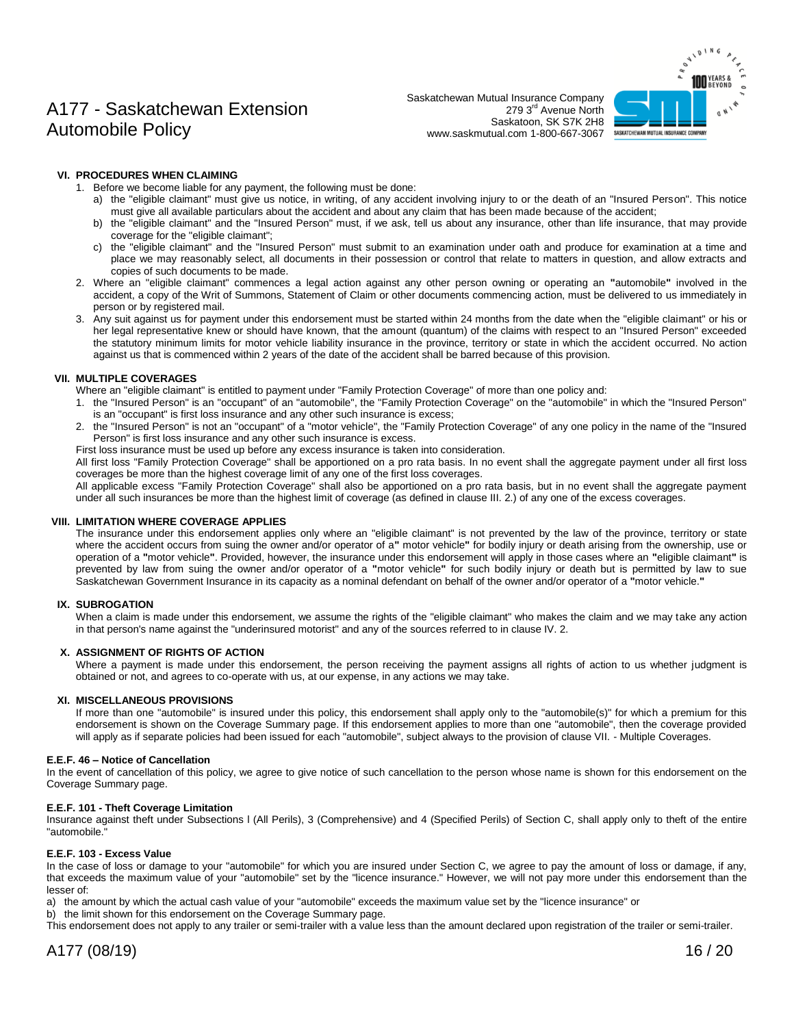Saskatchewan Mutual Insurance Company 279 3<sup>rd</sup> Avenue North Saskatoon, SK S7K 2H8 www.saskmutual.com 1-800-667-3067



#### **VI. PROCEDURES WHEN CLAIMING**

- 1. Before we become liable for any payment, the following must be done:
	- a) the "eligible claimant" must give us notice, in writing, of any accident involving injury to or the death of an "Insured Person". This notice must give all available particulars about the accident and about any claim that has been made because of the accident;
	- b) the "eligible claimant" and the "Insured Person" must, if we ask, tell us about any insurance, other than life insurance, that may provide coverage for the "eligible claimant";
	- c) the "eligible claimant" and the "Insured Person" must submit to an examination under oath and produce for examination at a time and place we may reasonably select, all documents in their possession or control that relate to matters in question, and allow extracts and copies of such documents to be made.
- 2. Where an "eligible claimant" commences a legal action against any other person owning or operating an **"**automobile**"** involved in the accident, a copy of the Writ of Summons, Statement of Claim or other documents commencing action, must be delivered to us immediately in person or by registered mail.
- 3. Any suit against us for payment under this endorsement must be started within 24 months from the date when the "eligible claimant" or his or her legal representative knew or should have known, that the amount (quantum) of the claims with respect to an "Insured Person" exceeded the statutory minimum limits for motor vehicle liability insurance in the province, territory or state in which the accident occurred. No action against us that is commenced within 2 years of the date of the accident shall be barred because of this provision.

#### **VII. MULTIPLE COVERAGES**

Where an "eligible claimant" is entitled to payment under "Family Protection Coverage" of more than one policy and:

- 1. the "Insured Person" is an "occupant" of an "automobile", the "Family Protection Coverage" on the "automobile" in which the "Insured Person" is an "occupant" is first loss insurance and any other such insurance is excess;
- 2. the "Insured Person" is not an "occupant" of a "motor vehicle", the "Family Protection Coverage" of any one policy in the name of the "Insured Person" is first loss insurance and any other such insurance is excess.
- First loss insurance must be used up before any excess insurance is taken into consideration.

All first loss "Family Protection Coverage" shall be apportioned on a pro rata basis. In no event shall the aggregate payment under all first loss coverages be more than the highest coverage limit of any one of the first loss coverages.

All applicable excess "Family Protection Coverage" shall also be apportioned on a pro rata basis, but in no event shall the aggregate payment under all such insurances be more than the highest limit of coverage (as defined in clause III. 2.) of any one of the excess coverages.

#### **VIII. LIMITATION WHERE COVERAGE APPLIES**

The insurance under this endorsement applies only where an "eligible claimant" is not prevented by the law of the province, territory or state where the accident occurs from suing the owner and/or operator of a**"** motor vehicle**"** for bodily injury or death arising from the ownership, use or operation of a **"**motor vehicle**"**. Provided, however, the insurance under this endorsement will apply in those cases where an **"**eligible claimant**"** is prevented by law from suing the owner and/or operator of a **"**motor vehicle**"** for such bodily injury or death but is permitted by law to sue Saskatchewan Government Insurance in its capacity as a nominal defendant on behalf of the owner and/or operator of a **"**motor vehicle.**"**

#### **IX. SUBROGATION**

When a claim is made under this endorsement, we assume the rights of the "eligible claimant" who makes the claim and we may take any action in that person's name against the "underinsured motorist" and any of the sources referred to in clause IV. 2.

#### **X. ASSIGNMENT OF RIGHTS OF ACTION**

Where a payment is made under this endorsement, the person receiving the payment assigns all rights of action to us whether judgment is obtained or not, and agrees to co-operate with us, at our expense, in any actions we may take.

#### **XI. MISCELLANEOUS PROVISIONS**

If more than one "automobile" is insured under this policy, this endorsement shall apply only to the "automobile(s)" for which a premium for this endorsement is shown on the Coverage Summary page. If this endorsement applies to more than one "automobile", then the coverage provided will apply as if separate policies had been issued for each "automobile", subject always to the provision of clause VII. - Multiple Coverages.

#### **E.E.F. 46 – Notice of Cancellation**

In the event of cancellation of this policy, we agree to give notice of such cancellation to the person whose name is shown for this endorsement on the Coverage Summary page.

#### **E.E.F. 101 - Theft Coverage Limitation**

Insurance against theft under Subsections l (All Perils), 3 (Comprehensive) and 4 (Specified Perils) of Section C, shall apply only to theft of the entire "automobile."

#### **E.E.F. 103 - Excess Value**

In the case of loss or damage to your "automobile" for which you are insured under Section C, we agree to pay the amount of loss or damage, if any, that exceeds the maximum value of your "automobile" set by the "licence insurance." However, we will not pay more under this endorsement than the lesser of:

a) the amount by which the actual cash value of your "automobile" exceeds the maximum value set by the "licence insurance" or

b) the limit shown for this endorsement on the Coverage Summary page.

This endorsement does not apply to any trailer or semi-trailer with a value less than the amount declared upon registration of the trailer or semi-trailer.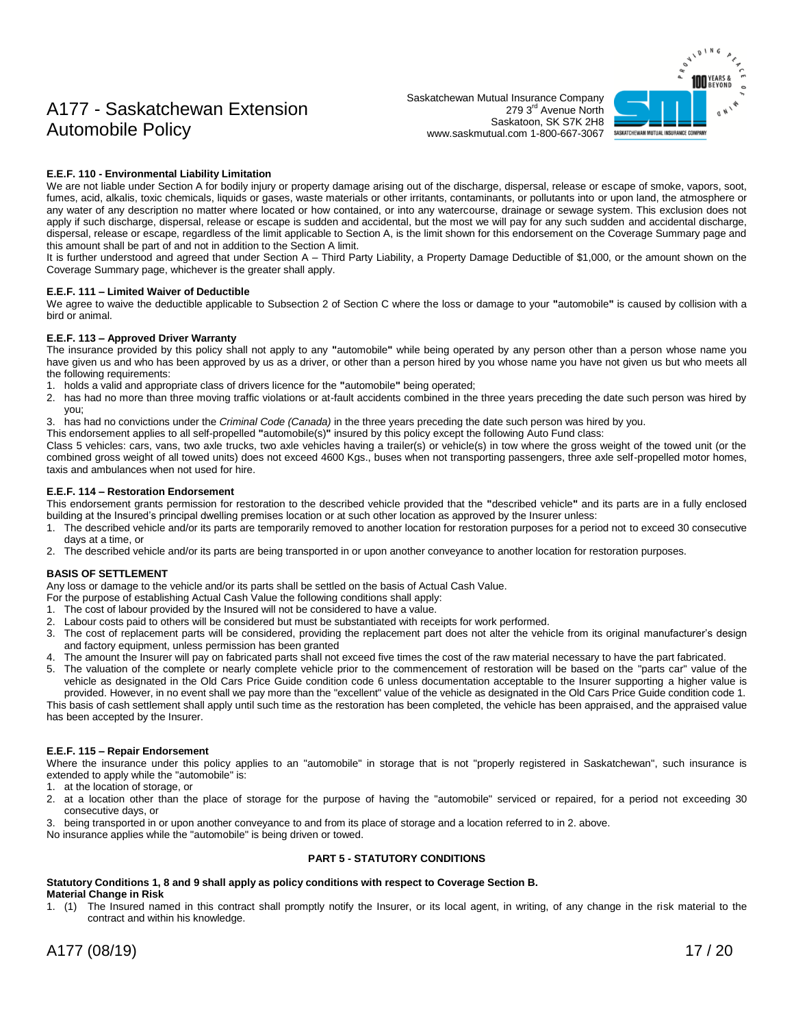Saskatchewan Mutual Insurance Company 279 3<sup>rd</sup> Avenue North Saskatoon, SK S7K 2H8 www.saskmutual.com 1-800-667-3067



#### **E.E.F. 110 - Environmental Liability Limitation**

We are not liable under Section A for bodily injury or property damage arising out of the discharge, dispersal, release or escape of smoke, vapors, soot, fumes, acid, alkalis, toxic chemicals, liquids or gases, waste materials or other irritants, contaminants, or pollutants into or upon land, the atmosphere or any water of any description no matter where located or how contained, or into any watercourse, drainage or sewage system. This exclusion does not apply if such discharge, dispersal, release or escape is sudden and accidental, but the most we will pay for any such sudden and accidental discharge, dispersal, release or escape, regardless of the limit applicable to Section A, is the limit shown for this endorsement on the Coverage Summary page and this amount shall be part of and not in addition to the Section A limit.

It is further understood and agreed that under Section A – Third Party Liability, a Property Damage Deductible of \$1,000, or the amount shown on the Coverage Summary page, whichever is the greater shall apply.

#### **E.E.F. 111 – Limited Waiver of Deductible**

We agree to waive the deductible applicable to Subsection 2 of Section C where the loss or damage to your **"**automobile**"** is caused by collision with a bird or animal.

#### **E.E.F. 113 – Approved Driver Warranty**

The insurance provided by this policy shall not apply to any **"**automobile**"** while being operated by any person other than a person whose name you have given us and who has been approved by us as a driver, or other than a person hired by you whose name you have not given us but who meets all the following requirements:

- 1. holds a valid and appropriate class of drivers licence for the **"**automobile**"** being operated;
- 2. has had no more than three moving traffic violations or at-fault accidents combined in the three years preceding the date such person was hired by you;
- 3. has had no convictions under the *Criminal Code (Canada)* in the three years preceding the date such person was hired by you.
- This endorsement applies to all self-propelled **"**automobile(s)**"** insured by this policy except the following Auto Fund class:

Class 5 vehicles: cars, vans, two axle trucks, two axle vehicles having a trailer(s) or vehicle(s) in tow where the gross weight of the towed unit (or the combined gross weight of all towed units) does not exceed 4600 Kgs., buses when not transporting passengers, three axle self-propelled motor homes, taxis and ambulances when not used for hire.

#### **E.E.F. 114 – Restoration Endorsement**

This endorsement grants permission for restoration to the described vehicle provided that the **"**described vehicle**"** and its parts are in a fully enclosed building at the Insured's principal dwelling premises location or at such other location as approved by the Insurer unless:

- 1. The described vehicle and/or its parts are temporarily removed to another location for restoration purposes for a period not to exceed 30 consecutive days at a time, or
- 2. The described vehicle and/or its parts are being transported in or upon another conveyance to another location for restoration purposes.

#### **BASIS OF SETTLEMENT**

Any loss or damage to the vehicle and/or its parts shall be settled on the basis of Actual Cash Value.

- For the purpose of establishing Actual Cash Value the following conditions shall apply:
- 1. The cost of labour provided by the Insured will not be considered to have a value.
- 2. Labour costs paid to others will be considered but must be substantiated with receipts for work performed.
- 3. The cost of replacement parts will be considered, providing the replacement part does not alter the vehicle from its original manufacturer's design and factory equipment, unless permission has been granted
- 4. The amount the Insurer will pay on fabricated parts shall not exceed five times the cost of the raw material necessary to have the part fabricated.
- 5. The valuation of the complete or nearly complete vehicle prior to the commencement of restoration will be based on the "parts car" value of the vehicle as designated in the Old Cars Price Guide condition code 6 unless documentation acceptable to the Insurer supporting a higher value is provided. However, in no event shall we pay more than the "excellent" value of the vehicle as designated in the Old Cars Price Guide condition code 1.

This basis of cash settlement shall apply until such time as the restoration has been completed, the vehicle has been appraised, and the appraised value has been accepted by the Insurer.

#### **E.E.F. 115 – Repair Endorsement**

Where the insurance under this policy applies to an "automobile" in storage that is not "properly registered in Saskatchewan", such insurance is extended to apply while the "automobile" is:

- 1. at the location of storage, or
- 2. at a location other than the place of storage for the purpose of having the "automobile" serviced or repaired, for a period not exceeding 30 consecutive days, or
- 3. being transported in or upon another conveyance to and from its place of storage and a location referred to in 2. above.

No insurance applies while the "automobile" is being driven or towed.

#### **PART 5 - STATUTORY CONDITIONS**

#### **Statutory Conditions 1, 8 and 9 shall apply as policy conditions with respect to Coverage Section B. Material Change in Risk**

1. (1) The Insured named in this contract shall promptly notify the Insurer, or its local agent, in writing, of any change in the risk material to the contract and within his knowledge.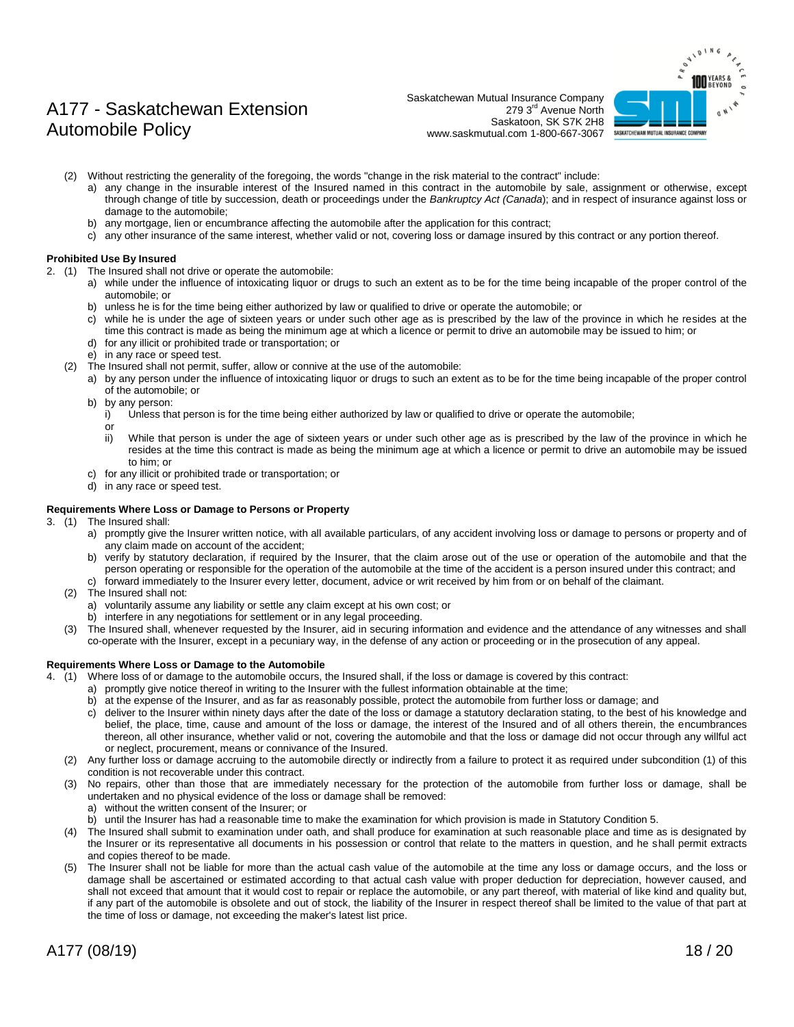# SASKATCHEWAN MUTUAL INSURANCE COMPANY

## A177 - Saskatchewan Extension Automobile Policy

Saskatchewan Mutual Insurance Company 279 3rd Avenue North Saskatoon, SK S7K 2H8 www.saskmutual.com 1-800-667-3067

- (2) Without restricting the generality of the foregoing, the words "change in the risk material to the contract" include:
	- a) any change in the insurable interest of the Insured named in this contract in the automobile by sale, assignment or otherwise, except through change of title by succession, death or proceedings under the *Bankruptcy Act (Canada*); and in respect of insurance against loss or damage to the automobile;
	- b) any mortgage, lien or encumbrance affecting the automobile after the application for this contract;
	- c) any other insurance of the same interest, whether valid or not, covering loss or damage insured by this contract or any portion thereof.

#### **Prohibited Use By Insured**

- 2. (1) The Insured shall not drive or operate the automobile:
	- a) while under the influence of intoxicating liquor or drugs to such an extent as to be for the time being incapable of the proper control of the automobile; or
	- b) unless he is for the time being either authorized by law or qualified to drive or operate the automobile; or
	- c) while he is under the age of sixteen years or under such other age as is prescribed by the law of the province in which he resides at the time this contract is made as being the minimum age at which a licence or permit to drive an automobile may be issued to him; or d) for any illicit or prohibited trade or transportation; or
	-
	- e) in any race or speed test. (2) The Insured shall not permit, suffer, allow or connive at the use of the automobile:
		- a) by any person under the influence of intoxicating liquor or drugs to such an extent as to be for the time being incapable of the proper control of the automobile; or
		- b) by any person:
			- i) Unless that person is for the time being either authorized by law or qualified to drive or operate the automobile;
			- or
			- ii) While that person is under the age of sixteen years or under such other age as is prescribed by the law of the province in which he resides at the time this contract is made as being the minimum age at which a licence or permit to drive an automobile may be issued to him; or
		- c) for any illicit or prohibited trade or transportation; or
		- d) in any race or speed test.

#### **Requirements Where Loss or Damage to Persons or Property**

- 3. (1) The Insured shall:
	- a) promptly give the Insurer written notice, with all available particulars, of any accident involving loss or damage to persons or property and of any claim made on account of the accident;
	- b) verify by statutory declaration, if required by the Insurer, that the claim arose out of the use or operation of the automobile and that the person operating or responsible for the operation of the automobile at the time of the accident is a person insured under this contract; and c) forward immediately to the Insurer every letter, document, advice or writ received by him from or on behalf of the claimant.
	- (2) The Insured shall not:
		- a) voluntarily assume any liability or settle any claim except at his own cost; or
		- b) interfere in any negotiations for settlement or in any legal proceeding.
	- (3) The Insured shall, whenever requested by the Insurer, aid in securing information and evidence and the attendance of any witnesses and shall co-operate with the Insurer, except in a pecuniary way, in the defense of any action or proceeding or in the prosecution of any appeal.

#### **Requirements Where Loss or Damage to the Automobile**

- 4. (1) Where loss of or damage to the automobile occurs, the Insured shall, if the loss or damage is covered by this contract:
	- a) promptly give notice thereof in writing to the Insurer with the fullest information obtainable at the time;
	- b) at the expense of the Insurer, and as far as reasonably possible, protect the automobile from further loss or damage; and
	- c) deliver to the Insurer within ninety days after the date of the loss or damage a statutory declaration stating, to the best of his knowledge and belief, the place, time, cause and amount of the loss or damage, the interest of the Insured and of all others therein, the encumbrances thereon, all other insurance, whether valid or not, covering the automobile and that the loss or damage did not occur through any willful act or neglect, procurement, means or connivance of the Insured.
	- (2) Any further loss or damage accruing to the automobile directly or indirectly from a failure to protect it as required under subcondition (1) of this condition is not recoverable under this contract.
	- (3) No repairs, other than those that are immediately necessary for the protection of the automobile from further loss or damage, shall be undertaken and no physical evidence of the loss or damage shall be removed: a) without the written consent of the Insurer; or
		- b) until the Insurer has had a reasonable time to make the examination for which provision is made in Statutory Condition 5.
	- (4) The Insured shall submit to examination under oath, and shall produce for examination at such reasonable place and time as is designated by the Insurer or its representative all documents in his possession or control that relate to the matters in question, and he shall permit extracts and copies thereof to be made.
	- (5) The Insurer shall not be liable for more than the actual cash value of the automobile at the time any loss or damage occurs, and the loss or damage shall be ascertained or estimated according to that actual cash value with proper deduction for depreciation, however caused, and shall not exceed that amount that it would cost to repair or replace the automobile, or any part thereof, with material of like kind and quality but, if any part of the automobile is obsolete and out of stock, the liability of the Insurer in respect thereof shall be limited to the value of that part at the time of loss or damage, not exceeding the maker's latest list price.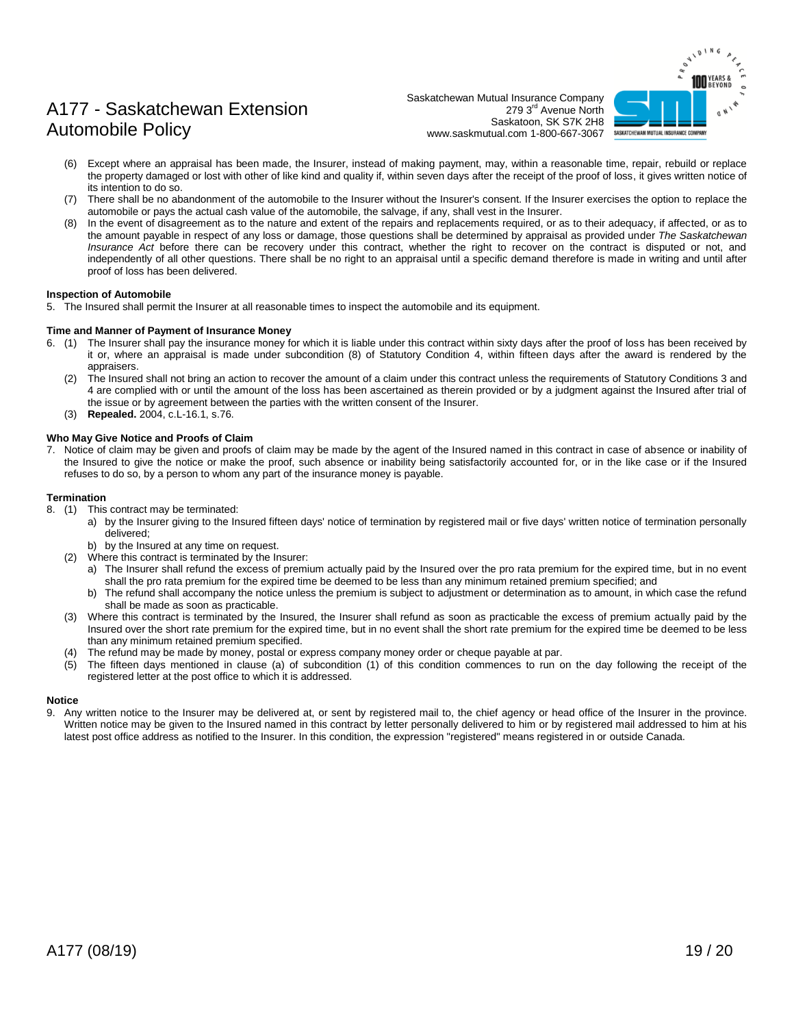

Saskatchewan Mutual Insurance Company 279 3<sup>rd</sup> Avenue North Saskatoon, SK S7K 2H8 www.saskmutual.com 1-800-667-3067

- (6) Except where an appraisal has been made, the Insurer, instead of making payment, may, within a reasonable time, repair, rebuild or replace the property damaged or lost with other of like kind and quality if, within seven days after the receipt of the proof of loss, it gives written notice of its intention to do so.
- (7) There shall be no abandonment of the automobile to the Insurer without the Insurer's consent. If the Insurer exercises the option to replace the automobile or pays the actual cash value of the automobile, the salvage, if any, shall vest in the Insurer.
- (8) In the event of disagreement as to the nature and extent of the repairs and replacements required, or as to their adequacy, if affected, or as to the amount payable in respect of any loss or damage, those questions shall be determined by appraisal as provided under *The Saskatchewan Insurance Act* before there can be recovery under this contract, whether the right to recover on the contract is disputed or not, and independently of all other questions. There shall be no right to an appraisal until a specific demand therefore is made in writing and until after proof of loss has been delivered.

#### **Inspection of Automobile**

5. The Insured shall permit the Insurer at all reasonable times to inspect the automobile and its equipment.

#### **Time and Manner of Payment of Insurance Money**

- 6. (1) The Insurer shall pay the insurance money for which it is liable under this contract within sixty days after the proof of loss has been received by it or, where an appraisal is made under subcondition (8) of Statutory Condition 4, within fifteen days after the award is rendered by the appraisers.
	- (2) The Insured shall not bring an action to recover the amount of a claim under this contract unless the requirements of Statutory Conditions 3 and 4 are complied with or until the amount of the loss has been ascertained as therein provided or by a judgment against the Insured after trial of the issue or by agreement between the parties with the written consent of the Insurer.
	- (3) **Repealed.** 2004, c.L-16.1, s.76.

#### **Who May Give Notice and Proofs of Claim**

7. Notice of claim may be given and proofs of claim may be made by the agent of the Insured named in this contract in case of absence or inability of the Insured to give the notice or make the proof, such absence or inability being satisfactorily accounted for, or in the like case or if the Insured refuses to do so, by a person to whom any part of the insurance money is payable.

#### **Termination**

- 8. (1) This contract may be terminated:
	- a) by the Insurer giving to the Insured fifteen days' notice of termination by registered mail or five days' written notice of termination personally delivered;
	- b) by the Insured at any time on request.
	- (2) Where this contract is terminated by the Insurer:
		- a) The Insurer shall refund the excess of premium actually paid by the Insured over the pro rata premium for the expired time, but in no event shall the pro rata premium for the expired time be deemed to be less than any minimum retained premium specified; and
		- b) The refund shall accompany the notice unless the premium is subject to adjustment or determination as to amount, in which case the refund shall be made as soon as practicable.
	- (3) Where this contract is terminated by the Insured, the Insurer shall refund as soon as practicable the excess of premium actually paid by the Insured over the short rate premium for the expired time, but in no event shall the short rate premium for the expired time be deemed to be less than any minimum retained premium specified.
	- The refund may be made by money, postal or express company money order or cheque payable at par.
	- The fifteen days mentioned in clause (a) of subcondition (1) of this condition commences to run on the day following the receipt of the registered letter at the post office to which it is addressed.

#### **Notice**

9. Any written notice to the Insurer may be delivered at, or sent by registered mail to, the chief agency or head office of the Insurer in the province. Written notice may be given to the Insured named in this contract by letter personally delivered to him or by registered mail addressed to him at his latest post office address as notified to the Insurer. In this condition, the expression "registered" means registered in or outside Canada.